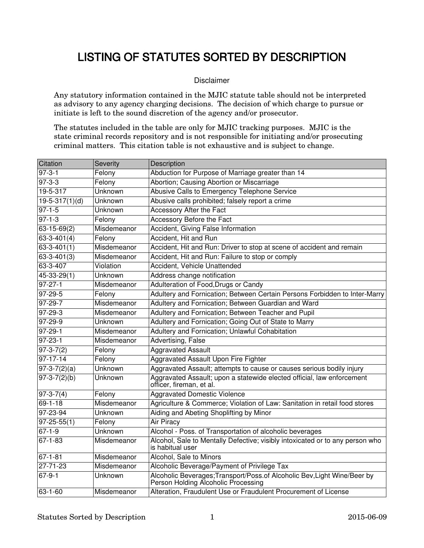## LISTING OF STATUTES SORTED BY DESCRIPTION

## Disclaimer

Any statutory information contained in the MJIC statute table should not be interpreted as advisory to any agency charging decisions. The decision of which charge to pursue or initiate is left to the sound discretion of the agency and/or prosecutor.

The statutes included in the table are only for MJIC tracking purposes. MJIC is the state criminal records repository and is not responsible for initiating and/or prosecuting criminal matters. This citation table is not exhaustive and is subject to change.

| Citation          | Severity    | Description                                                                                                     |
|-------------------|-------------|-----------------------------------------------------------------------------------------------------------------|
| $97 - 3 - 1$      | Felony      | Abduction for Purpose of Marriage greater than 14                                                               |
| $97 - 3 - 3$      | Felony      | Abortion; Causing Abortion or Miscarriage                                                                       |
| $19 - 5 - 317$    | Unknown     | Abusive Calls to Emergency Telephone Service                                                                    |
| $19-5-317(1)(d)$  | Unknown     | Abusive calls prohibited; falsely report a crime                                                                |
| $97 - 1 - 5$      | Unknown     | Accessory After the Fact                                                                                        |
| $97 - 1 - 3$      | Felony      | Accessory Before the Fact                                                                                       |
| $63 - 15 - 69(2)$ | Misdemeanor | Accident, Giving False Information                                                                              |
| $63 - 3 - 401(4)$ | Felony      | Accident, Hit and Run                                                                                           |
| $63 - 3 - 401(1)$ | Misdemeanor | Accident, Hit and Run: Driver to stop at scene of accident and remain                                           |
| $63 - 3 - 401(3)$ | Misdemeanor | Accident, Hit and Run: Failure to stop or comply                                                                |
| 63-3-407          | Violation   | Accident, Vehicle Unattended                                                                                    |
| $45 - 33 - 29(1)$ | Unknown     | Address change notification                                                                                     |
| $97 - 27 - 1$     | Misdemeanor | Adulteration of Food, Drugs or Candy                                                                            |
| 97-29-5           | Felony      | Adultery and Fornication; Between Certain Persons Forbidden to Inter-Marry                                      |
| 97-29-7           | Misdemeanor | Adultery and Fornication; Between Guardian and Ward                                                             |
| 97-29-3           | Misdemeanor | Adultery and Fornication; Between Teacher and Pupil                                                             |
| 97-29-9           | Unknown     | Adultery and Fornication; Going Out of State to Marry                                                           |
| 97-29-1           | Misdemeanor | Adultery and Fornication; Unlawful Cohabitation                                                                 |
| 97-23-1           | Misdemeanor | Advertising, False                                                                                              |
| $97-3-7(2)$       | Felony      | <b>Aggravated Assault</b>                                                                                       |
| $97 - 17 - 14$    | Felony      | Aggravated Assault Upon Fire Fighter                                                                            |
| $97-3-7(2)(a)$    | Unknown     | Aggravated Assault; attempts to cause or causes serious bodily injury                                           |
| $97-3-7(2)(b)$    | Unknown     | Aggravated Assault; upon a statewide elected official, law enforcement<br>officer, fireman, et al.              |
| $97 - 3 - 7(4)$   | Felony      | <b>Aggravated Domestic Violence</b>                                                                             |
| $69 - 1 - 18$     | Misdemeanor | Agriculture & Commerce; Violation of Law: Sanitation in retail food stores                                      |
| 97-23-94          | Unknown     | Aiding and Abeting Shoplifting by Minor                                                                         |
| $97 - 25 - 55(1)$ | Felony      | Air Piracy                                                                                                      |
| $67 - 1 - 9$      | Unknown     | Alcohol - Poss. of Transportation of alcoholic beverages                                                        |
| 67-1-83           | Misdemeanor | Alcohol, Sale to Mentally Defective; visibly intoxicated or to any person who<br>is habitual user               |
| $67 - 1 - 81$     | Misdemeanor | Alcohol, Sale to Minors                                                                                         |
| $27 - 71 - 23$    | Misdemeanor | Alcoholic Beverage/Payment of Privilege Tax                                                                     |
| $67 - 9 - 1$      | Unknown     | Alcoholic Beverages; Transport/Poss.of Alcoholic Bev, Light Wine/Beer by<br>Person Holding Alcoholic Processing |
| 63-1-60           | Misdemeanor | Alteration, Fraudulent Use or Fraudulent Procurement of License                                                 |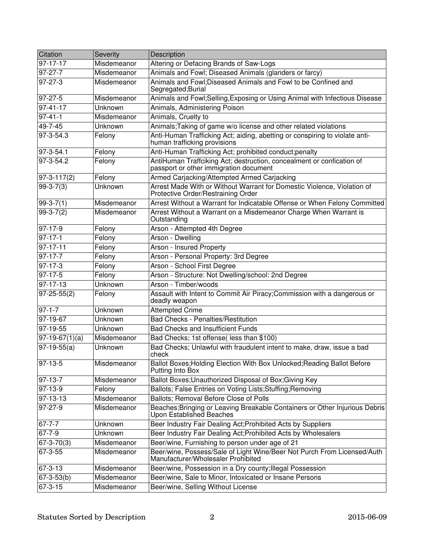| Citation                | Severity       | Description                                                                                                     |
|-------------------------|----------------|-----------------------------------------------------------------------------------------------------------------|
| 97-17-17                | Misdemeanor    | Altering or Defacing Brands of Saw-Logs                                                                         |
| $97-27-7$               | Misdemeanor    | Animals and Fowl; Diseased Animals (glanders or farcy)                                                          |
| 97-27-3                 | Misdemeanor    | Animals and Fowl: Diseased Animals and Fowl to be Confined and<br>Segregated; Burial                            |
| 97-27-5                 | Misdemeanor    | Animals and Fowl; Selling, Exposing or Using Animal with Infectious Disease                                     |
| $97 - 41 - 17$          | Unknown        | Animals, Administering Poison                                                                                   |
| $97 - 41 - 1$           | Misdemeanor    | Animals, Cruelty to                                                                                             |
| $49 - 7 - 45$           | Unknown        | Animals; Taking of game w/o license and other related violations                                                |
| 97-3-54.3               | Felony         | Anti-Human Trafficking Act; aiding, abetting or conspiring to violate anti-<br>human trafficking provisions     |
| 97-3-54.1               | Felony         | Anti-Human Trafficking Act; prohibited conduct;penalty                                                          |
| 97-3-54.2               | Felony         | AntiHuman Traffciking Act; destruction, concealment or confication of<br>passport or other immigration document |
| $97-3-117(2)$           | Felony         | Armed Carjacking/Attempted Armed Carjacking                                                                     |
| $99-3-7(3)$             | Unknown        | Arrest Made With or Without Warrant for Domestic Violence, Violation of<br>Protective Order/Restraining Order   |
| $99-3-7(1)$             | Misdemeanor    | Arrest Without a Warrant for Indicatable Offense or When Felony Committed                                       |
| $99-3-7(2)$             | Misdemeanor    | Arrest Without a Warrant on a Misdemeanor Charge When Warrant is<br>Outstanding                                 |
| $97 - 17 - 9$           | Felony         | Arson - Attempted 4th Degree                                                                                    |
| $97-17-1$               | Felony         | Arson - Dwelling                                                                                                |
| $97 - 17 - 11$          | Felony         | Arson - Insured Property                                                                                        |
| $97 - 17 - 7$           | Felony         | Arson - Personal Property: 3rd Degree                                                                           |
| 97-17-3                 | Felony         | Arson - School First Degree                                                                                     |
| 97-17-5                 | Felony         | Arson - Structure: Not Dwelling/school: 2nd Degree                                                              |
| 97-17-13                | Unknown        | Arson - Timber/woods                                                                                            |
| $97 - 25 - 55(2)$       | Felony         | Assault with Intent to Commit Air Piracy; Commission with a dangerous or<br>deadly weapon                       |
| $97 - 1 - 7$            | Unknown        | <b>Attempted Crime</b>                                                                                          |
| 97-19-67                | Unknown        | <b>Bad Checks - Penalties/Restitution</b>                                                                       |
| 97-19-55                | Unknown        | <b>Bad Checks and Insufficient Funds</b>                                                                        |
| $\sqrt{97-19-67(1)(a)}$ | Misdemeanor    | Bad Checks; 1st offense(less than \$100)                                                                        |
| $97-19-55(a)$           | Unknown        | Bad Checks; Unlawful with fraudulent intent to make, draw, issue a bad<br>check                                 |
| 97-13-5                 | Misdemeanor    | Ballot Boxes; Holding Election With Box Unlocked; Reading Ballot Before<br>Putting Into Box                     |
| $97-13-7$               | Misdemeanor    | Ballot Boxes; Unauthorized Disposal of Box; Giving Key                                                          |
| 97-13-9                 | Felony         | Ballots; False Entries on Voting Lists; Stuffing; Removing                                                      |
| 97-13-13                | Misdemeanor    | Ballots; Removal Before Close of Polls                                                                          |
| $97 - 27 - 9$           | Misdemeanor    | Beaches; Bringing or Leaving Breakable Containers or Other Injurious Debris<br>Upon Established Beaches         |
| $67 - 7 - 7$            | Unknown        | Beer Industry Fair Dealing Act; Prohibited Acts by Suppliers                                                    |
| $67 - 7 - 9$            | <b>Unknown</b> | Beer Industry Fair Dealing Act; Prohibited Acts by Wholesalers                                                  |
| $67 - 3 - 70(3)$        | Misdemeanor    | Beer/wine, Furnishing to person under age of 21                                                                 |
| 67-3-55                 | Misdemeanor    | Beer/wine, Possess/Sale of Light Wine/Beer Not Purch From Licensed/Auth<br>Manufacturer/Wholesaler Prohibited   |
| 67-3-13                 | Misdemeanor    | Beer/wine, Possession in a Dry county; Illegal Possession                                                       |
| $67 - 3 - 53(b)$        | Misdemeanor    | Beer/wine, Sale to Minor, Intoxicated or Insane Persons                                                         |
| $67 - 3 - 15$           | Misdemeanor    | Beer/wine, Selling Without License                                                                              |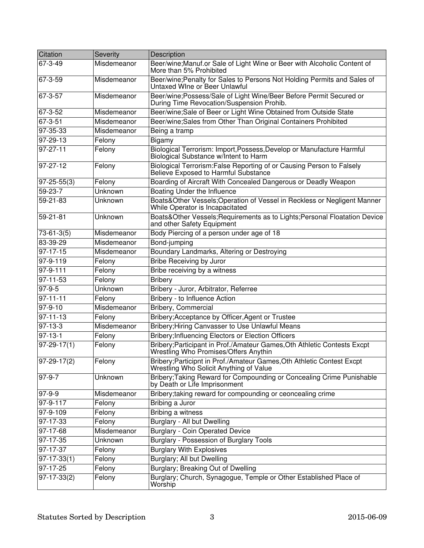| Citation                  | Severity    | Description                                                                                                       |
|---------------------------|-------------|-------------------------------------------------------------------------------------------------------------------|
| 67-3-49                   | Misdemeanor | Beer/wine; Manuf.or Sale of Light Wine or Beer with Alcoholic Content of<br>More than 5% Prohibited               |
| 67-3-59                   | Misdemeanor | Beer/wine; Penalty for Sales to Persons Not Holding Permits and Sales of<br>Untaxed Wine or Beer Unlawful         |
| 67-3-57                   | Misdemeanor | Beer/wine; Possess/Sale of Light Wine/Beer Before Permit Secured or<br>During Time Revocation/Suspension Prohib.  |
| 67-3-52                   | Misdemeanor | Beer/wine; Sale of Beer or Light Wine Obtained from Outside State                                                 |
| 67-3-51                   | Misdemeanor | Beer/wine; Sales from Other Than Original Containers Prohibited                                                   |
| 97-35-33                  | Misdemeanor | Being a tramp                                                                                                     |
| 97-29-13                  | Felony      | Bigamy                                                                                                            |
| $97 - 27 - 11$            | Felony      | Biological Terrorism: Import, Possess, Develop or Manufacture Harmful<br>Biological Substance w/Intent to Harm    |
| 97-27-12                  | Felony      | Biological Terrorism: False Reporting of or Causing Person to Falsely<br>Believe Exposed to Harmful Substance     |
| $ 97-25-55(3) $           | Felony      | Boarding of Aircraft With Concealed Dangerous or Deadly Weapon                                                    |
| 59-23-7                   | Unknown     | Boating Under the Influence                                                                                       |
| 59-21-83                  | Unknown     | Boats&Other Vessels;Operation of Vessel in Reckless or Negligent Manner<br>While Operator is Incapacitated        |
| 59-21-81                  | Unknown     | Boats&Other Vessels; Requirements as to Lights; Personal Floatation Device<br>and other Safety Equipment          |
| $73 - 61 - 3(5)$          | Misdemeanor | Body Piercing of a person under age of 18                                                                         |
| 83-39-29                  | Misdemeanor | Bond-jumping                                                                                                      |
| $97 - 17 - 15$            | Misdemeanor | Boundary Landmarks, Altering or Destroying                                                                        |
| $97-9-119$                | Felony      | <b>Bribe Receiving by Juror</b>                                                                                   |
| 97-9-111                  | Felony      | Bribe receiving by a witness                                                                                      |
| $97 - 11 - 53$            | Felony      | <b>Bribery</b>                                                                                                    |
| $97 - 9 - 5$              | Unknown     | Bribery - Juror, Arbitrator, Referree                                                                             |
| $97 - 11 - 11$            | Felony      | Bribery - to Influence Action                                                                                     |
| 97-9-10                   | Misdemeanor | Bribery, Commercial                                                                                               |
| $97 - 11 - 13$            | Felony      | Bribery; Acceptance by Officer, Agent or Trustee                                                                  |
| $97 - 13 - 3$             | Misdemeanor | Bribery; Hiring Canvasser to Use Unlawful Means                                                                   |
| $ 97-13-1 $               | Felony      | Bribery; Influencing Electors or Election Officers                                                                |
| $97-29-17(1)$             | Felony      | Bribery; Participant in Prof./Amateur Games, Oth Athletic Contests Excpt<br>Wrestling Who Promises/Offers Anythin |
| $\boxed{97-29-17(2)}$     | Felony      | Bribery; Participnt in Prof./Amateur Games, Oth Athletic Contest Excpt<br>Wrestling Who Solicit Anything of Value |
| $ 97-9-7$                 | Unknown     | Bribery; Taking Reward for Compounding or Concealing Crime Punishable<br>by Death or Life Imprisonment            |
| $97 - 9 - 9$              | Misdemeanor | Bribery; taking reward for compounding or ceoncealing crime                                                       |
| 97-9-117                  | Felony      | Bribing a Juror                                                                                                   |
| 97-9-109                  | Felony      | Bribing a witness                                                                                                 |
| 97-17-33                  | Felony      | Burglary - All but Dwelling                                                                                       |
| 97-17-68                  | Misdemeanor | <b>Burglary - Coin Operated Device</b>                                                                            |
| 97-17-35                  | Unknown     | <b>Burglary - Possession of Burglary Tools</b>                                                                    |
| 97-17-37                  | Felony      | <b>Burglary With Explosives</b>                                                                                   |
| $97-17-33(1)$             | Felony      | Burglary; All but Dwelling                                                                                        |
| 97-17-25                  | Felony      | Burglary; Breaking Out of Dwelling                                                                                |
| $\overline{97}$ -17-33(2) | Felony      | Burglary; Church, Synagogue, Temple or Other Established Place of<br>Worship                                      |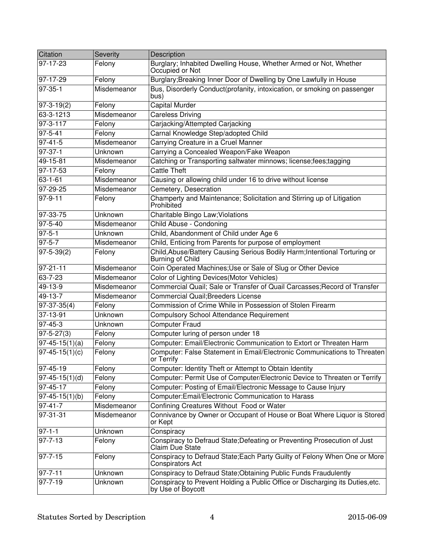| Citation                 | Severity    | Description                                                                                          |
|--------------------------|-------------|------------------------------------------------------------------------------------------------------|
| 97-17-23                 | Felony      | Burglary; Inhabited Dwelling House, Whether Armed or Not, Whether<br>Occupied or Not                 |
| 97-17-29                 | Felony      | Burglary; Breaking Inner Door of Dwelling by One Lawfully in House                                   |
| $97-35-1$                | Misdemeanor | Bus, Disorderly Conduct(profanity, intoxication, or smoking on passenger<br>bus)                     |
| $97 - 3 - 19(2)$         | Felony      | Capital Murder                                                                                       |
| 63-3-1213                | Misdemeanor | <b>Careless Driving</b>                                                                              |
| 97-3-117                 | Felony      | Carjacking/Attempted Carjacking                                                                      |
| $97 - 5 - 41$            | Felony      | Carnal Knowledge Step/adopted Child                                                                  |
| $97 - 41 - 5$            | Misdemeanor | Carrying Creature in a Cruel Manner                                                                  |
| $97-37-1$                | Unknown     | Carrying a Concealed Weapon/Fake Weapon                                                              |
| 49-15-81                 | Misdemeanor | Catching or Transporting saltwater minnows; license;fees;tagging                                     |
| 97-17-53                 | Felony      | <b>Cattle Theft</b>                                                                                  |
| $63 - 1 - 61$            | Misdemeanor | Causing or allowing child under 16 to drive without license                                          |
| $97 - 29 - 25$           | Misdemeanor | Cemetery, Desecration                                                                                |
| $97 - 9 - 11$            | Felony      | Champerty and Maintenance; Solicitation and Stirring up of Litigation<br>Prohibited                  |
| 97-33-75                 | Unknown     | Charitable Bingo Law; Violations                                                                     |
| $97 - 5 - 40$            | Misdemeanor | Child Abuse - Condoning                                                                              |
| $97 - 5 - 1$             | Unknown     | Child, Abandonment of Child under Age 6                                                              |
| $97 - 5 - 7$             | Misdemeanor | Child, Enticing from Parents for purpose of employment                                               |
| $97 - 5 - 39(2)$         | Felony      | Child, Abuse/Battery Causing Serious Bodily Harm; Intentional Torturing or<br>Burning of Child       |
| $97 - 21 - 11$           | Misdemeanor | Coin Operated Machines; Use or Sale of Slug or Other Device                                          |
| $63 - 7 - 23$            | Misdemeanor | Color of Lighting Devices(Motor Vehicles)                                                            |
| 49-13-9                  | Misdemeanor | Commercial Quail; Sale or Transfer of Quail Carcasses; Record of Transfer                            |
| 49-13-7                  | Misdemeanor | <b>Commercial Quail; Breeders License</b>                                                            |
| $97-37-35(4)$            | Felony      | Commission of Crime While in Possession of Stolen Firearm                                            |
| 37-13-91                 | Unknown     | <b>Compulsory School Attendance Requirement</b>                                                      |
| 97-45-3                  | Unknown     | <b>Computer Fraud</b>                                                                                |
| $97 - 5 - 27(3)$         | Felony      | Computer luring of person under 18                                                                   |
| $\sqrt{97-45-15(1)}$ (a) | Felony      | Computer: Email/Electronic Communication to Extort or Threaten Harm                                  |
| $97-45-15(1)(c)$         | Felony      | Computer: False Statement in Email/Electronic Communications to Threaten<br>or Terrify               |
| 97-45-19                 | Felony      | Computer: Identity Theft or Attempt to Obtain Identity                                               |
| $97-45-15(1)(d)$         | Felony      | Computer: Permit Use of Computer/Electronic Device to Threaten or Terrify                            |
| 97-45-17                 | Felony      | Computer: Posting of Email/Electronic Message to Cause Injury                                        |
| $97-45-15(1)(b)$         | Felony      | Computer: Email/Electronic Communication to Harass                                                   |
| $97 - 41 - 7$            | Misdemeanor | Confining Creatures Without Food or Water                                                            |
| 97-31-31                 | Misdemeanor | Connivance by Owner or Occupant of House or Boat Where Liquor is Stored<br>or Kept                   |
| $97 - 1 - 1$             | Unknown     | Conspiracy                                                                                           |
| $97 - 7 - 13$            | Felony      | Conspiracy to Defraud State; Defeating or Preventing Prosecution of Just<br>Claim Due State          |
| $97 - 7 - 15$            | Felony      | Conspiracy to Defraud State; Each Party Guilty of Felony When One or More<br><b>Conspirators Act</b> |
| $97 - 7 - 11$            | Unknown     | Conspiracy to Defraud State; Obtaining Public Funds Fraudulently                                     |
| $97 - 7 - 19$            | Unknown     | Conspiracy to Prevent Holding a Public Office or Discharging its Duties, etc.<br>by Use of Boycott   |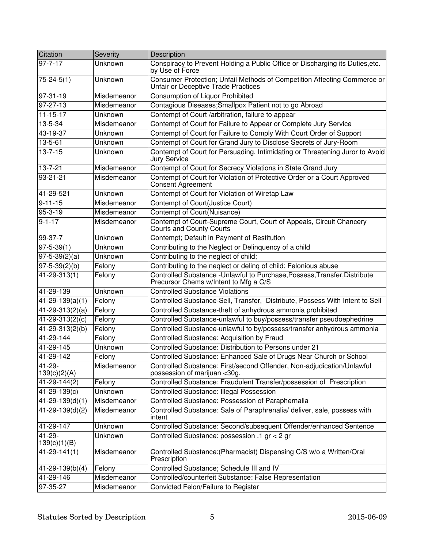| Citation                  | Severity       | Description                                                                                                         |
|---------------------------|----------------|---------------------------------------------------------------------------------------------------------------------|
| $97 - 7 - 17$             | Unknown        | Conspiracy to Prevent Holding a Public Office or Discharging its Duties, etc.<br>by Use of Force                    |
| $75 - 24 - 5(1)$          | Unknown        | Consumer Protection; Unfail Methods of Competition Affecting Commerce or<br>Unfair or Deceptive Trade Practices     |
| 97-31-19                  | Misdemeanor    | <b>Consumption of Liquor Prohibited</b>                                                                             |
| 97-27-13                  | Misdemeanor    | Contagious Diseases; Smallpox Patient not to go Abroad                                                              |
| $11 - 15 - 17$            | Unknown        | Contempt of Court /arbitration, failure to appear                                                                   |
| 13-5-34                   | Misdemeanor    | Contempt of Court for Failure to Appear or Complete Jury Service                                                    |
| 43-19-37                  | Unknown        | Contempt of Court for Failure to Comply With Court Order of Support                                                 |
| 13-5-61                   | Unknown        | Contempt of Court for Grand Jury to Disclose Secrets of Jury-Room                                                   |
| $13 - 7 - 15$             | Unknown        | Contempt of Court for Persuading, Intimidating or Threatening Juror to Avoid<br><b>Jury Service</b>                 |
| $13 - 7 - 21$             | Misdemeanor    | Contempt of Court for Secrecy Violations in State Grand Jury                                                        |
| $93 - 21 - 21$            | Misdemeanor    | Contempt of Court for Violation of Protective Order or a Court Approved<br>Consent Agreement                        |
| 41-29-521                 | Unknown        | Contempt of Court for Violation of Wiretap Law                                                                      |
| $9 - 11 - 15$             | Misdemeanor    | Contempt of Court(Justice Court)                                                                                    |
| 95-3-19                   | Misdemeanor    | Contempt of Court(Nuisance)                                                                                         |
| $9 - 1 - 17$              | Misdemeanor    | Contempt of Court-Supreme Court, Court of Appeals, Circuit Chancery<br><b>Courts and County Courts</b>              |
| 99-37-7                   | Unknown        | Contempt; Default in Payment of Restitution                                                                         |
| $97 - 5 - 39(1)$          | Unknown        | Contributing to the Neglect or Delinquency of a child                                                               |
| $97 - 5 - 39(2)(a)$       | Unknown        | Contributing to the neglect of child;                                                                               |
| $97 - 5 - 39(2)(b)$       | Felony         | Contributing to the neqlect or deling of child; Felonious abuse                                                     |
| 41-29-313(1)              | Felony         | Controlled Substance - Unlawful to Purchase, Possess, Transfer, Distribute<br>Precursor Chems w/Intent to Mfg a C/S |
| 41-29-139                 | Unknown        | <b>Controlled Substance Violations</b>                                                                              |
| $41-29-139(a)(1)$         | Felony         | Controlled Substance-Sell, Transfer, Distribute, Possess With Intent to Sell                                        |
| $41 - 29 - 313(2)(a)$     | Felony         | Controlled Substance-theft of anhydrous ammonia prohibited                                                          |
| $41 - 29 - 313(2)(c)$     | Felony         | Controlled Substance-unlawful to buy/possess/transfer pseudoephedrine                                               |
| 41-29-313(2)(b)           | Felony         | Controlled Substance-unlawful to by/possess/transfer anhydrous ammonia                                              |
| 41-29-144                 | Felony         | Controlled Substance: Acquisition by Fraud                                                                          |
| 41-29-145                 | Unknown        | Controlled Substance: Distribution to Persons under 21                                                              |
| 41-29-142                 | Felony         | Controlled Substance: Enhanced Sale of Drugs Near Church or School                                                  |
| $41-29$ -<br>139(c)(2)(A) | Misdemeanor    | Controlled Substance: First/second Offender, Non-adjudication/Unlawful<br>possession of marijuan <30g.              |
| 41-29-144(2)              | Felony         | Controlled Substance: Fraudulent Transfer/possession of Prescription                                                |
| 41-29-139(c)              | <b>Unknown</b> | <b>Controlled Substance: Illegal Possession</b>                                                                     |
| $41 - 29 - 139(d)(1)$     | Misdemeanor    | Controlled Substance: Possession of Paraphernalia                                                                   |
| $41 - 29 - 139(d)(2)$     | Misdemeanor    | Controlled Substance: Sale of Paraphrenalia/ deliver, sale, possess with<br>intent                                  |
| 41-29-147                 | Unknown        | Controlled Substance: Second/subsequent Offender/enhanced Sentence                                                  |
| 41-29-<br>139(c)(1)(B)    | Unknown        | Controlled Substance: possession .1 gr < 2 gr                                                                       |
| $41 - 29 - 141(1)$        | Misdemeanor    | Controlled Substance: (Pharmacist) Dispensing C/S w/o a Written/Oral<br>Prescription                                |
| $41 - 29 - 139(b)(4)$     | Felony         | Controlled Substance; Schedule III and IV                                                                           |
| 41-29-146                 | Misdemeanor    | Controlled/counterfeit Substance: False Representation                                                              |
| 97-35-27                  | Misdemeanor    | Convicted Felon/Failure to Register                                                                                 |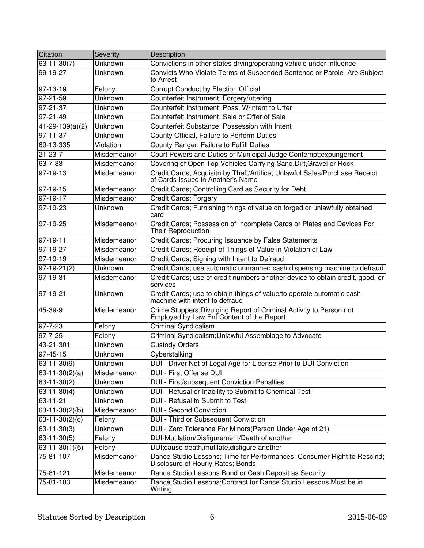| Citation              | Severity       | Description                                                                                                      |
|-----------------------|----------------|------------------------------------------------------------------------------------------------------------------|
| $63 - 11 - 30(7)$     | Unknown        | Convictions in other states drving/operating vehicle under influence                                             |
| 99-19-27              | Unknown        | Convicts Who Violate Terms of Suspended Sentence or Parole Are Subject<br>to Arrest                              |
| $97-13-19$            | Felony         | Corrupt Conduct by Election Official                                                                             |
| $97 - 21 - 59$        | Unknown        | Counterfeit Instrument: Forgery/uttering                                                                         |
| $97 - 21 - 37$        | Unknown        | Counterfeit Instrument: Poss, W/intent to Utter                                                                  |
| $97 - 21 - 49$        | Unknown        | Counterfeit Instrument: Sale or Offer of Sale                                                                    |
| $41 - 29 - 139(a)(2)$ | Unknown        | Counterfeit Substance: Possession with Intent                                                                    |
| $97 - 11 - 37$        | Unknown        | County Official, Failure to Perform Duties                                                                       |
| 69-13-335             | Violation      | County Ranger: Failure to Fulfill Duties                                                                         |
| $21 - 23 - 7$         | Misdemeanor    | Court Powers and Duties of Municipal Judge; Contempt; expungement                                                |
| 63-7-83               | Misdemeanor    | Covering of Open Top Vehicles Carrying Sand, Dirt, Gravel or Rock                                                |
| $97 - 19 - 13$        | Misdemeanor    | Credit Cards; Acquisitn by Theft/Artifice; Unlawful Sales/Purchase; Receipt<br>of Cards Issued in Another's Name |
| $97-19-15$            | Misdemeanor    | Credit Cards; Controlling Card as Security for Debt                                                              |
| $97-19-17$            | Misdemeanor    | <b>Credit Cards; Forgery</b>                                                                                     |
| 97-19-23              | Unknown        | Credit Cards; Furnishing things of value on forged or unlawfully obtained<br>card                                |
| 97-19-25              | Misdemeanor    | Credit Cards; Possession of Incomplete Cards or Plates and Devices For<br>Their Reproduction                     |
| $97-19-11$            | Misdemeanor    | Credit Cards; Procuring Issuance by False Statements                                                             |
| 97-19-27              | Misdemeanor    | Credit Cards; Receipt of Things of Value in Violation of Law                                                     |
| $97-19-19$            | Misdemeanor    | Credit Cards; Signing with Intent to Defraud                                                                     |
| $97-19-21(2)$         | Unknown        | Credit Cards; use automatic unmanned cash dispensing machine to defraud                                          |
| 97-19-31              | Misdemeanor    | Credit Cards; use of credit numbers or other device to obtain credit, good, or<br>services                       |
| 97-19-21              | Unknown        | Credit Cards; use to obtain things of value/to operate automatic cash<br>machine with intent to defraud          |
| 45-39-9               | Misdemeanor    | Crime Stoppers; Divulging Report of Criminal Activity to Person not<br>Employed by Law Enf Content of the Report |
| 97-7-23               | Felony         | <b>Criminal Syndicalism</b>                                                                                      |
| 97-7-25               | Felony         | Criminal Syndicalism; Unlawful Assemblage to Advocate                                                            |
| 43-21-301             | Unknown        | <b>Custody Orders</b>                                                                                            |
| 97-45-15              | Unknown        | Cyberstalking                                                                                                    |
| $63 - 11 - 30(9)$     | Unknown        | DUI - Driver Not of Legal Age for License Prior to DUI Conviction                                                |
| $63-11-30(2)(a)$      | Misdemeanor    | <b>DUI - First Offense DUI</b>                                                                                   |
| $63 - 11 - 30(2)$     | <b>Unknown</b> | DUI - First/subsequent Conviction Penalties                                                                      |
| $63-11-30(4)$         | Unknown        | DUI - Refusal or Inability to Submit to Chemical Test                                                            |
| $63 - 11 - 21$        | <b>Unknown</b> | DUI - Refusal to Submit to Test                                                                                  |
| $63 - 11 - 30(2)(b)$  | Misdemeanor    | <b>DUI - Second Conviction</b>                                                                                   |
| 63-11-30 $(2)(c)$     | Felony         | DUI - Third or Subsequent Conviction                                                                             |
| $63 - 11 - 30(3)$     | <b>Unknown</b> | DUI - Zero Tolerance For Minors(Person Under Age of 21)                                                          |
| $63 - 11 - 30(5)$     | Felony         | DUI-Mutilation/Disfigurement/Death of another                                                                    |
| $63-11-30(1)(5)$      | Felony         | DUI: cause death, mutilate, disfigure another                                                                    |
| 75-81-107             | Misdemeanor    | Dance Studio Lessons; Time for Performances; Consumer Right to Rescind;<br>Disclosure of Hourly Rates; Bonds     |
| 75-81-121             | Misdemeanor    | Dance Studio Lessons; Bond or Cash Deposit as Security                                                           |
| 75-81-103             | Misdemeanor    | Dance Studio Lessons; Contract for Dance Studio Lessons Must be in<br>Writing                                    |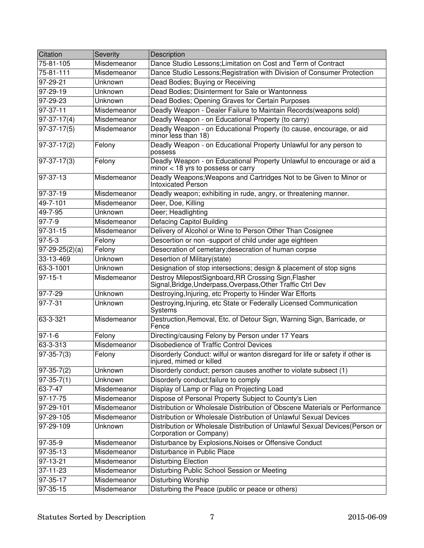| Citation                    | Severity       | Description                                                                                                         |
|-----------------------------|----------------|---------------------------------------------------------------------------------------------------------------------|
| $75 - 81 - 105$             | Misdemeanor    | Dance Studio Lessons: Limitation on Cost and Term of Contract                                                       |
| 75-81-111                   | Misdemeanor    | Dance Studio Lessons; Registration with Division of Consumer Protection                                             |
| 97-29-21                    | Unknown        | Dead Bodies; Buying or Receiving                                                                                    |
| 97-29-19                    | Unknown        | Dead Bodies; Disinterment for Sale or Wantonness                                                                    |
| 97-29-23                    | Unknown        | Dead Bodies; Opening Graves for Certain Purposes                                                                    |
| 97-37-11                    | Misdemeanor    | Deadly Weapon - Dealer Failure to Maintain Records (weapons sold)                                                   |
| $97-37-17(4)$               | Misdemeanor    | Deadly Weapon - on Educational Property (to carry)                                                                  |
| $97-37-17(5)$               | Misdemeanor    | Deadly Weapon - on Educational Property (to cause, encourage, or aid<br>minor less than 18)                         |
| $97-37-17(2)$               | Felony         | Deadly Weapon - on Educational Property Unlawful for any person to<br>possess                                       |
| $97-37-17(3)$               | Felony         | Deadly Weapon - on Educational Property Unlawful to encourage or aid a<br>$minor < 18$ yrs to possess or carry      |
| $97-37-13$                  | Misdemeanor    | Deadly Weapons; Weapons and Cartridges Not to be Given to Minor or<br>Intoxicated Person                            |
| 97-37-19                    | Misdemeanor    | Deadly weapon; exhibiting in rude, angry, or threatening manner.                                                    |
| 49-7-101                    | Misdemeanor    | Deer, Doe, Killing                                                                                                  |
| 49-7-95                     | Unknown        | Deer; Headlighting                                                                                                  |
| $97 - 7 - 9$                | Misdemeanor    | <b>Defacing Capitol Building</b>                                                                                    |
| $97 - 31 - 15$              | Misdemeanor    | Delivery of Alcohol or Wine to Person Other Than Cosignee                                                           |
| $97 - 5 - 3$                | Felony         | Descertion or non-support of child under age eighteen                                                               |
| $\overline{97-29-25(2)}(a)$ | Felony         | Desecration of cemetary; desecration of human corpse                                                                |
| 33-13-469                   | <b>Unknown</b> | Desertion of Military(state)                                                                                        |
| 63-3-1001                   | Unknown        | Designation of stop intersections; design & placement of stop signs                                                 |
| $97 - 15 - 1$               | Misdemeanor    | Destroy MilepostSignboard, RR Crossing Sign, Flasher<br>Signal, Bridge, Underpass, Overpass, Other Traffic Ctrl Dev |
| 97-7-29                     | Unknown        | Destroying, Injuring, etc Property to Hinder War Efforts                                                            |
| 97-7-31                     | Unknown        | Destroying, Injuring, etc State or Federally Licensed Communication<br><b>Systems</b>                               |
| 63-3-321                    | Misdemeanor    | Destruction, Removal, Etc. of Detour Sign, Warning Sign, Barricade, or<br>Fence                                     |
| $97 - 1 - 6$                | Felony         | Directing/causing Felony by Person under 17 Years                                                                   |
| 63-3-313                    | Misdemeanor    | Disobedience of Traffic Control Devices                                                                             |
| $97 - 35 - 7(3)$            | Felony         | Disorderly Conduct: wilful or wanton disregard for life or safety if other is<br>injured, mimed or killed           |
| $ 97-35-7(2) $              | Unknown        | Disorderly conduct; person causes another to violate subsect (1)                                                    |
| $97-35-7(1)$                | <b>Unknown</b> | Disorderly conduct; failure to comply                                                                               |
| $63 - 7 - 47$               | Misdemeanor    | Display of Lamp or Flag on Projecting Load                                                                          |
| 97-17-75                    | Misdemeanor    | Dispose of Personal Property Subject to County's Lien                                                               |
| $97 - 29 - 101$             | Misdemeanor    | Distribution or Wholesale Distribution of Obscene Materials or Performance                                          |
| 97-29-105                   | Misdemeanor    | Distribution or Wholesale Distribution of Unlawful Sexual Devices                                                   |
| 97-29-109                   | Unknown        | Distribution or Wholesale Distribution of Unlawful Sexual Devices(Person or<br>Corporation or Company)              |
| $97-35-9$                   | Misdemeanor    | Disturbance by Explosions, Noises or Offensive Conduct                                                              |
| $97-35-13$                  | Misdemeanor    | Disturbance in Public Place                                                                                         |
| 97-13-21                    | Misdemeanor    | <b>Disturbing Election</b>                                                                                          |
| $37 - 11 - 23$              | Misdemeanor    | Disturbing Public School Session or Meeting                                                                         |
| 97-35-17                    | Misdemeanor    | <b>Disturbing Worship</b>                                                                                           |
| 97-35-15                    | Misdemeanor    | Disturbing the Peace (public or peace or others)                                                                    |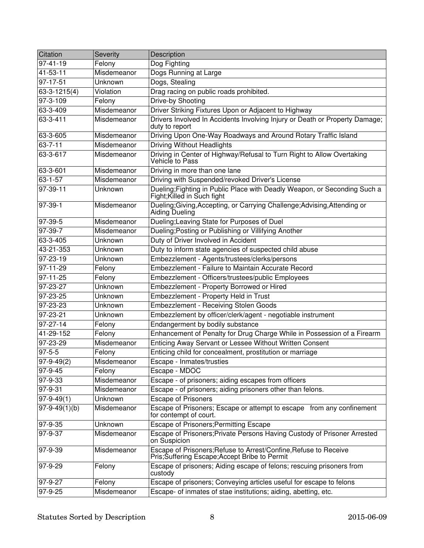| Citation            | Severity           | Description                                                                                                        |
|---------------------|--------------------|--------------------------------------------------------------------------------------------------------------------|
| $97 - 41 - 19$      | Felony             | Dog Fighting                                                                                                       |
| 41-53-11            | Misdemeanor        | Dogs Running at Large                                                                                              |
| 97-17-51            | Unknown            | Dogs, Stealing                                                                                                     |
| 63-3-1215(4)        | Violation          | Drag racing on public roads prohibited.                                                                            |
| 97-3-109            | Felony             | Drive-by Shooting                                                                                                  |
| 63-3-409            | Misdemeanor        | Driver Striking Fixtures Upon or Adjacent to Highway                                                               |
| 63-3-411            | Misdemeanor        | Drivers Involved In Accidents Involving Injury or Death or Property Damage;<br>duty to report                      |
| 63-3-605            | Misdemeanor        | Driving Upon One-Way Roadways and Around Rotary Traffic Island                                                     |
| $63 - 7 - 11$       | Misdemeanor        | <b>Driving Without Headlights</b>                                                                                  |
| 63-3-617            | Misdemeanor        | Driving in Center of Highway/Refusal to Turn Right to Allow Overtaking<br>Vehicle to Pass                          |
| 63-3-601            | Misdemeanor        | Driving in more than one lane                                                                                      |
| 63-1-57             | Misdemeanor        | Driving with Suspended/revoked Driver's License                                                                    |
| $97-39-11$          | Unknown            | Dueling; Fighting in Public Place with Deadly Weapon, or Seconding Such a<br>Fight; Killed in Such fight           |
| 97-39-1             | Misdemeanor        | Dueling; Giving, Accepting, or Carrying Challenge; Advising, Attending or<br>Aiding Dueling                        |
| 97-39-5             | Misdemeanor        | Dueling; Leaving State for Purposes of Duel                                                                        |
| 97-39-7             | Misdemeanor        | Dueling; Posting or Publishing or Villifying Another                                                               |
| 63-3-405            | Unknown            | Duty of Driver Involved in Accident                                                                                |
| 43-21-353           | Unknown            | Duty to inform state agencies of suspected child abuse                                                             |
| $97 - 23 - 19$      | <b>Unknown</b>     | Embezzlement - Agents/trustees/clerks/persons                                                                      |
| $97 - 11 - 29$      | Felony             | Embezzlement - Failure to Maintain Accurate Record                                                                 |
| $97 - 11 - 25$      | Felony             | Embezzlement - Officers/trustees/public Employees                                                                  |
| 97-23-27            | Unknown            | Embezzlement - Property Borrowed or Hired                                                                          |
| 97-23-25            | Unknown            | Embezzlement - Property Held in Trust                                                                              |
| 97-23-23            | Unknown            | <b>Embezzlement - Receiving Stolen Goods</b>                                                                       |
| 97-23-21            | Unknown            | Embezzlement by officer/clerk/agent - negotiable instrument                                                        |
| 97-27-14            | Felony             | Endangerment by bodily substance                                                                                   |
| 41-29-152           | Felony             | Enhancement of Penalty for Drug Charge While in Possession of a Firearm                                            |
| 97-23-29            | Misdemeanor        | Enticing Away Servant or Lessee Without Written Consent                                                            |
| 97-5-5              | Felony             | Enticing child for concealment, prostitution or marriage                                                           |
| $97-9-49(2)$        | <b>Misdemeanor</b> | Escape - Inmates/trusties                                                                                          |
| $97 - 9 - 45$       | Felony             | Escape - MDOC                                                                                                      |
| 97-9-33             | Misdemeanor        | Escape - of prisoners; aiding escapes from officers                                                                |
| 97-9-31             | Misdemeanor        | Escape - of prisoners; aiding prisoners other than felons.                                                         |
| $97 - 9 - 49(1)$    | Unknown            | <b>Escape of Prisoners</b>                                                                                         |
| $97 - 9 - 49(1)(b)$ | Misdemeanor        | Escape of Prisoners; Escape or attempt to escape from any confinement<br>for contempt of court.                    |
| 97-9-35             | Unknown            | Escape of Prisoners; Permitting Escape                                                                             |
| 97-9-37             | Misdemeanor        | Escape of Prisoners; Private Persons Having Custody of Prisoner Arrested<br>on Suspicion                           |
| 97-9-39             | Misdemeanor        | Escape of Prisoners; Refuse to Arrest/Confine, Refuse to Receive<br>Pris; Suffering Escape; Accept Bribe to Permit |
| 97-9-29             | Felony             | Escape of prisoners; Aiding escape of felons; rescuing prisoners from<br>custody                                   |
| 97-9-27             | Felony             | Escape of prisoners; Conveying articles useful for escape to felons                                                |
| $97 - 9 - 25$       | Misdemeanor        | Escape- of inmates of stae institutions; aiding, abetting, etc.                                                    |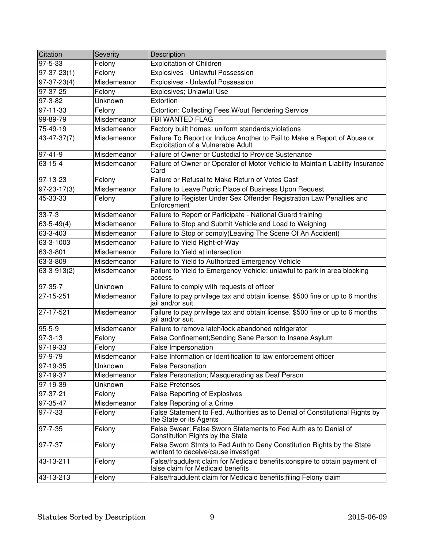| Citation          | Severity       | Description                                                                                                      |
|-------------------|----------------|------------------------------------------------------------------------------------------------------------------|
| $97 - 5 - 33$     | Felony         | <b>Exploitation of Children</b>                                                                                  |
| $97-37-23(1)$     | Felony         | Explosives - Unlawful Possession                                                                                 |
| $97-37-23(4)$     | Misdemeanor    | Explosives - Unlawful Possession                                                                                 |
| 97-37-25          | Felony         | Explosives; Unlawful Use                                                                                         |
| $97 - 3 - 82$     | <b>Unknown</b> | Extortion                                                                                                        |
| $97 - 11 - 33$    | Felony         | Extortion: Collecting Fees W/out Rendering Service                                                               |
| 99-89-79          | Misdemeanor    | <b>FBI WANTED FLAG</b>                                                                                           |
| 75-49-19          | Misdemeanor    | Factory built homes; uniform standards; violations                                                               |
| $43 - 47 - 37(7)$ | Misdemeanor    | Failure To Report or Induce Another to Fail to Make a Report of Abuse or<br>Exploitation of a Vulnerable Adult   |
| $97 - 41 - 9$     | Misdemeanor    | Failure of Owner or Custodial to Provide Sustenance                                                              |
| $63 - 15 - 4$     | Misdemeanor    | Failure of Owner or Operator of Motor Vehicle to Maintain Liability Insurance<br>Card                            |
| 97-13-23          | Felony         | Failure or Refusal to Make Return of Votes Cast                                                                  |
| $97 - 23 - 17(3)$ | Misdemeanor    | Failure to Leave Public Place of Business Upon Request                                                           |
| 45-33-33          | Felony         | Failure to Register Under Sex Offender Registration Law Penalties and<br>Enforcement                             |
| $33 - 7 - 3$      | Misdemeanor    | Failure to Report or Participate - National Guard training                                                       |
| $63 - 5 - 49(4)$  | Misdemeanor    | Failure to Stop and Submit Vehicle and Load to Weighing                                                          |
| 63-3-403          | Misdemeanor    | Failure to Stop or comply(Leaving The Scene Of An Accident)                                                      |
| 63-3-1003         | Misdemeanor    | Failure to Yield Right-of-Way                                                                                    |
| 63-3-801          | Misdemeanor    | Failure to Yield at intersection                                                                                 |
| 63-3-809          | Misdemeanor    | Failure to Yield to Authorized Emergency Vehicle                                                                 |
| 63-3-913(2)       | Misdemeanor    | Failure to Yield to Emergency Vehicle; unlawful to park in area blocking<br>access.                              |
| 97-35-7           | Unknown        | Failure to comply with requests of officer                                                                       |
| 27-15-251         | Misdemeanor    | Failure to pay privilege tax and obtain license. \$500 fine or up to 6 months<br>jail and/or suit.               |
| 27-17-521         | Misdemeanor    | Failure to pay privilege tax and obtain license. \$500 fine or up to 6 months<br>jail and/or suit.               |
| $95 - 5 - 9$      | Misdemeanor    | Failure to remove latch/lock abandoned refrigerator                                                              |
| $97 - 3 - 13$     | Felony         | False Confinement; Sending Sane Person to Insane Asylum                                                          |
| 97-19-33          | Felony         | False Impersonation                                                                                              |
| 97-9-79           | Misdemeanor    | False Information or Identification to law enforcement officer                                                   |
| 97-19-35          | Unknown        | <b>False Personation</b>                                                                                         |
| 97-19-37          | Misdemeanor    | False Personation; Masquerading as Deaf Person                                                                   |
| 97-19-39          | <b>Unknown</b> | <b>False Pretenses</b>                                                                                           |
| 97-37-21          | Felony         | <b>False Reporting of Explosives</b>                                                                             |
| 97-35-47          | Misdemeanor    | False Reporting of a Crime                                                                                       |
| $97 - 7 - 33$     | Felony         | False Statement to Fed. Authorities as to Denial of Constitutional Rights by<br>the State or its Agents          |
| 97-7-35           | Felony         | False Swear; False Sworn Statements to Fed Auth as to Denial of<br>Constitution Rights by the State              |
| 97-7-37           | Felony         | False Sworn Stmts to Fed Auth to Deny Constitution Rights by the State<br>w/intent to deceive/cause investigat   |
| 43-13-211         | Felony         | False/fraudulent claim for Medicaid benefits; conspire to obtain payment of<br>false claim for Medicaid benefits |
| 43-13-213         | Felony         | False/fraudulent claim for Medicaid benefits; filing Felony claim                                                |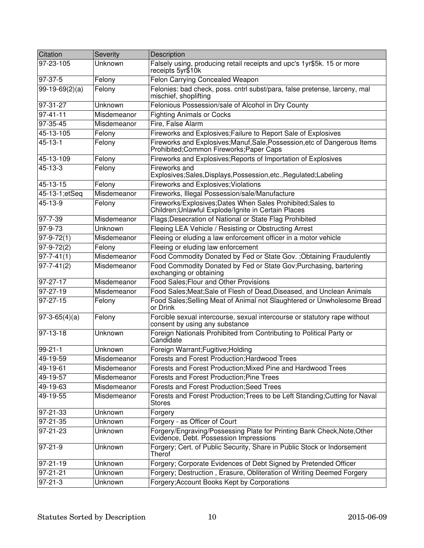| Citation                | Severity       | Description                                                                                                           |
|-------------------------|----------------|-----------------------------------------------------------------------------------------------------------------------|
| 97-23-105               | <b>Unknown</b> | Falsely using, producing retail receipts and upc's 1yr\$5k. 15 or more<br>receipts 5yr\$10k                           |
| 97-37-5                 | Felony         | Felon Carrying Concealed Weapon                                                                                       |
| $99-19-69(2)(a)$        | Felony         | Felonies: bad check, poss. cntrl subst/para, false pretense, larceny, mal<br>mischief, shoplifting                    |
| 97-31-27                | Unknown        | Felonious Possession/sale of Alcohol in Dry County                                                                    |
| $97 - 41 - 11$          | Misdemeanor    | <b>Fighting Animals or Cocks</b>                                                                                      |
| 97-35-45                | Misdemeanor    | Fire, False Alarm                                                                                                     |
| 45-13-105               | Felony         | Fireworks and Explosives; Failure to Report Sale of Explosives                                                        |
| $45 - 13 - 1$           | Felony         | Fireworks and Explosives; Manuf, Sale, Possession, etc of Dangerous Items<br>Prohibited; Common Fireworks; Paper Caps |
| 45-13-109               | Felony         | Fireworks and Explosives; Reports of Importation of Explosives                                                        |
| $45 - 13 - 3$           | Felony         | Fireworks and<br>Explosives;Sales,Displays,Possession,etc.,Regulated;Labeling                                         |
| 45-13-15                | Felony         | Fireworks and Explosives; Violations                                                                                  |
| 45-13-1;etSeq           | Misdemeanor    | Fireworks, Illegal Possession/sale/Manufacture                                                                        |
| 45-13-9                 | Felony         | Fireworks/Explosives; Dates When Sales Prohibited; Sales to<br>Children;Unlawful Explode/Ignite in Certain Places     |
| 97-7-39                 | Misdemeanor    | Flags; Desecration of National or State Flag Prohibited                                                               |
| $97 - 9 - 73$           | Unknown        | Fleeing LEA Vehicle / Resisting or Obstructing Arrest                                                                 |
| $\overline{97-9-72(1)}$ | Misdemeanor    | Fleeing or eluding a law enforcement officer in a motor vehicle                                                       |
| $97-9-72(2)$            | Felony         | Fleeing or eluding law enforcement                                                                                    |
| $97 - 7 - 41(1)$        | Misdemeanor    | Food Commodity Donated by Fed or State Gov. ; Obtaining Fraudulently                                                  |
| $97 - 7 - 41(2)$        | Misdemeanor    | Food Commodity Donated by Fed or State Gov; Purchasing, bartering<br>exchanging or obtaining                          |
| 97-27-17                | Misdemeanor    | Food Sales; Flour and Other Provisions                                                                                |
| 97-27-19                | Misdemeanor    | Food Sales; Meat; Sale of Flesh of Dead, Diseased, and Unclean Animals                                                |
| $97 - 27 - 15$          | Felony         | Food Sales; Selling Meat of Animal not Slaughtered or Unwholesome Bread<br>or Drink                                   |
| $97-3-65(4)(a)$         | Felony         | Forcible sexual intercourse, sexual intercourse or statutory rape without<br>consent by using any substance           |
| 97-13-18                | Unknown        | Foreign Nationals Prohibited from Contributing to Political Party or<br>Candidate                                     |
| $99-21-1$               | Unknown        | Foreign Warrant; Fugitive; Holding                                                                                    |
| 49-19-59                | Misdemeanor    | Forests and Forest Production; Hardwood Trees                                                                         |
| 49-19-61                | Misdemeanor    | Forests and Forest Production; Mixed Pine and Hardwood Trees                                                          |
| 49-19-57                | Misdemeanor    | Forests and Forest Production; Pine Trees                                                                             |
| 49-19-63                | Misdemeanor    | Forests and Forest Production; Seed Trees                                                                             |
| 49-19-55                | Misdemeanor    | Forests and Forest Production; Trees to be Left Standing; Cutting for Naval<br><b>Stores</b>                          |
| 97-21-33                | Unknown        | Forgery                                                                                                               |
| $97 - 21 - 35$          | <b>Unknown</b> | Forgery - as Officer of Court                                                                                         |
| $97 - 21 - 23$          | <b>Unknown</b> | Forgery/Engraving/Possessing Plate for Printing Bank Check, Note, Other<br>Evidence, Debt. Possession Impressions     |
| $97 - 21 - 9$           | Unknown        | Forgery; Cert. of Public Security, Share in Public Stock or Indorsement<br>Therof                                     |
| $97 - 21 - 19$          | <b>Unknown</b> | Forgery; Corporate Evidences of Debt Signed by Pretended Officer                                                      |
| 97-21-21                | Unknown        | Forgery; Destruction, Erasure, Obliteration of Writing Deemed Forgery                                                 |
| $97 - 21 - 3$           | Unknown        | Forgery; Account Books Kept by Corporations                                                                           |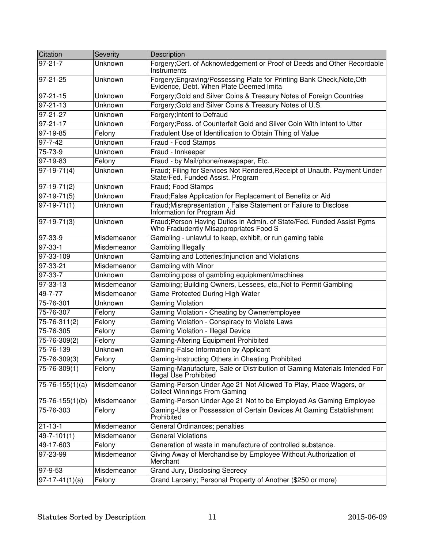| Citation              | <b>Severity</b> | Description                                                                                                       |
|-----------------------|-----------------|-------------------------------------------------------------------------------------------------------------------|
| 97-21-7               | Unknown         | Forgery; Cert. of Acknowledgement or Proof of Deeds and Other Recordable<br>Instruments                           |
| 97-21-25              | Unknown         | Forgery; Engraving/Possessing Plate for Printing Bank Check, Note, Oth<br>Evidence, Debt. When Plate Deemed Imita |
| $97 - 21 - 15$        | Unknown         | Forgery; Gold and Silver Coins & Treasury Notes of Foreign Countries                                              |
| $97 - 21 - 13$        | Unknown         | Forgery; Gold and Silver Coins & Treasury Notes of U.S.                                                           |
| 97-21-27              | Unknown         | Forgery; Intent to Defraud                                                                                        |
| 97-21-17              | Unknown         | Forgery; Poss. of Counterfeit Gold and Silver Coin With Intent to Utter                                           |
| 97-19-85              | Felony          | Fradulent Use of Identification to Obtain Thing of Value                                                          |
| 97-7-42               | Unknown         | Fraud - Food Stamps                                                                                               |
| 75-73-9               | Unknown         | Fraud - Innkeeper                                                                                                 |
| 97-19-83              | Felony          | Fraud - by Mail/phone/newspaper, Etc.                                                                             |
| $97-19-71(4)$         | Unknown         | Fraud; Filing for Services Not Rendered, Receipt of Unauth. Payment Under<br>State/Fed. Funded Assist. Program    |
| 97-19-71(2)           | Unknown         | Fraud; Food Stamps                                                                                                |
| $97-19-71(5)$         | Unknown         | Fraud; False Application for Replacement of Benefits or Aid                                                       |
| $ 97-19-71(1) $       | Unknown         | Fraud; Misrepresentation, False Statement or Failure to Disclose<br>Information for Program Aid                   |
| 97-19-71(3)           | Unknown         | Fraud; Person Having Duties in Admin. of State/Fed. Funded Assist Pgms<br>Who Fradudently Misappropriates Food S  |
| 97-33-9               | Misdemeanor     | Gambling - unlawful to keep, exhibit, or run gaming table                                                         |
| $97 - 33 - 1$         | Misdemeanor     | <b>Gambling Illegally</b>                                                                                         |
| 97-33-109             | Unknown         | Gambling and Lotteries; Injunction and Violations                                                                 |
| 97-33-21              | Misdemeanor     | Gambling with Minor                                                                                               |
| 97-33-7               | Unknown         | Gambling:poss of gambling equipkment/machines                                                                     |
| 97-33-13              | Misdemeanor     | Gambling; Building Owners, Lessees, etc., Not to Permit Gambling                                                  |
| 49-7-77               | Misdemeanor     | <b>Game Protected During High Water</b>                                                                           |
| 75-76-301             | Unknown         | <b>Gaming Violation</b>                                                                                           |
| 75-76-307             | Felony          | Gaming Violation - Cheating by Owner/employee                                                                     |
| 75-76-311(2)          | Felony          | Gaming Violation - Conspiracy to Violate Laws                                                                     |
| 75-76-305             | Felony          | Gaming Violation - Illegal Device                                                                                 |
| 75-76-309(2)          | Felony          | Gaming-Altering Equipment Prohibited                                                                              |
| 75-76-139             | Unknown         | Gaming-False Information by Applicant                                                                             |
| $75 - 76 - 309(3)$    | Felony          | Gaming-Instructing Others in Cheating Prohibited                                                                  |
| 75-76-309(1)          | Felony          | Gaming-Manufacture, Sale or Distribution of Gaming Materials Intended For<br>Illegal Use Prohibited               |
| $75 - 76 - 155(1)(a)$ | Misdemeanor     | Gaming-Person Under Age 21 Not Allowed To Play, Place Wagers, or<br>Collect Winnings From Gaming                  |
| 75-76-155(1)(b)       | Misdemeanor     | Gaming-Person Under Age 21 Not to be Employed As Gaming Employee                                                  |
| 75-76-303             | Felony          | Gaming-Use or Possession of Certain Devices At Gaming Establishment<br>Prohibited                                 |
| $21 - 13 - 1$         | Misdemeanor     | General Ordinances; penalties                                                                                     |
| $49 - 7 - 101(1)$     | Misdemeanor     | <b>General Violations</b>                                                                                         |
| 49-17-603             | Felony          | Generation of waste in manufacture of controlled substance.                                                       |
| 97-23-99              | Misdemeanor     | Giving Away of Merchandise by Employee Without Authorization of<br>Merchant                                       |
| 97-9-53               | Misdemeanor     | Grand Jury, Disclosing Secrecy                                                                                    |
| $97-17-41(1)(a)$      | Felony          | Grand Larceny; Personal Property of Another (\$250 or more)                                                       |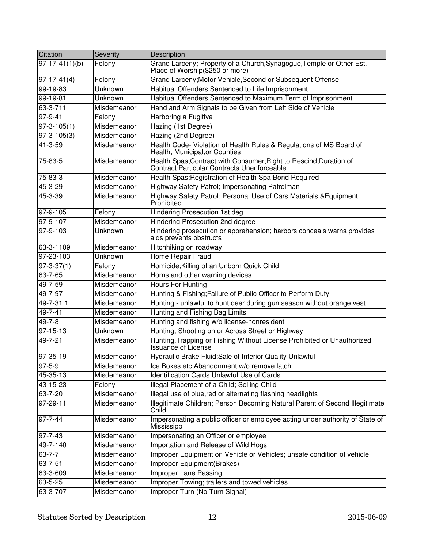| Citation            | Severity       | Description                                                                                                     |
|---------------------|----------------|-----------------------------------------------------------------------------------------------------------------|
| $97-17-41(1)(b)$    | Felony         | Grand Larceny; Property of a Church, Synagogue, Temple or Other Est.<br>Place of Worship(\$250 or more)         |
| $97-17-41(4)$       | Felony         | Grand Larceny; Motor Vehicle, Second or Subsequent Offense                                                      |
| 99-19-83            | Unknown        | Habitual Offenders Sentenced to Life Imprisonment                                                               |
| $99-19-81$          | <b>Unknown</b> | Habitual Offenders Sentenced to Maximum Term of Imprisonment                                                    |
| 63-3-711            | Misdemeanor    | Hand and Arm Signals to be Given from Left Side of Vehicle                                                      |
| $97 - 9 - 41$       | Felony         | Harboring a Fugitive                                                                                            |
| $97 - 3 - 105(1)$   | Misdemeanor    | Hazing (1st Degree)                                                                                             |
| $97 - 3 - 105(3)$   | Misdemeanor    | Hazing (2nd Degree)                                                                                             |
| 41-3-59             | Misdemeanor    | Health Code- Violation of Health Rules & Regulations of MS Board of<br>Health, Municipal, or Counties           |
| 75-83-5             | Misdemeanor    | Health Spas; Contract with Consumer; Right to Rescind; Duration of Contract; Particular Contracts Unenforceable |
| 75-83-3             | Misdemeanor    | Health Spas; Registration of Health Spa; Bond Required                                                          |
| 45-3-29             | Misdemeanor    | Highway Safety Patrol; Impersonating Patrolman                                                                  |
| 45-3-39             | Misdemeanor    | Highway Safety Patrol; Personal Use of Cars, Materials, & Equipment<br>Prohibited                               |
| 97-9-105            | Felony         | Hindering Prosecution 1st deg                                                                                   |
| 97-9-107            | Misdemeanor    | Hindering Prosecution 2nd degree                                                                                |
| 97-9-103            | <b>Unknown</b> | Hindering prosecution or apprehension; harbors conceals warns provides<br>aids prevents obstructs               |
| 63-3-1109           | Misdemeanor    | Hitchhiking on roadway                                                                                          |
| 97-23-103           | Unknown        | Home Repair Fraud                                                                                               |
| $97 - 3 - 37(1)$    | Felony         | Homicide; Killing of an Unborn Quick Child                                                                      |
| 63-7-65             | Misdemeanor    | Horns and other warning devices                                                                                 |
| 49-7-59             | Misdemeanor    | <b>Hours For Hunting</b>                                                                                        |
| 49-7-97             | Misdemeanor    | Hunting & Fishing; Failure of Public Officer to Perform Duty                                                    |
| 49-7-31.1           | Misdemeanor    | Hunting - unlawful to hunt deer during gun season without orange vest                                           |
| $49 - 7 - 41$       | Misdemeanor    | Hunting and Fishing Bag Limits                                                                                  |
| $49 - 7 - 8$        | Misdemeanor    | Hunting and fishing w/o license-nonresident                                                                     |
| $97 - 15 - 13$      | Unknown        | Hunting, Shooting on or Across Street or Highway                                                                |
| 49-7-21             | Misdemeanor    | Hunting, Trapping or Fishing Without License Prohibited or Unauthorized<br><b>Issuance of License</b>           |
| 97-35-19            | Misdemeanor    | Hydraulic Brake Fluid; Sale of Inferior Quality Unlawful                                                        |
| $\overline{97-5-9}$ | Misdemeanor    | Ice Boxes etc; Abandonment w/o remove latch                                                                     |
| 45-35-13            | Misdemeanor    | Identification Cards; Unlawful Use of Cards                                                                     |
| 43-15-23            | Felony         | Illegal Placement of a Child; Selling Child                                                                     |
| 63-7-20             | Misdemeanor    | Illegal use of blue, red or alternating flashing headlights                                                     |
| 97-29-11            | Misdemeanor    | Illegitimate Children; Person Becoming Natural Parent of Second Illegitimate<br>Child                           |
| 97-7-44             | Misdemeanor    | Impersonating a public officer or employee acting under authority of State of<br>Mississippi                    |
| 97-7-43             | Misdemeanor    | Impersonating an Officer or employee                                                                            |
| 49-7-140            | Misdemeanor    | Importation and Release of Wild Hogs                                                                            |
| $63 - 7 - 7$        | Misdemeanor    | Improper Equipment on Vehicle or Vehicles; unsafe condition of vehicle                                          |
| $63 - 7 - 51$       | Misdemeanor    | Improper Equipment(Brakes)                                                                                      |
| 63-3-609            | Misdemeanor    | <b>Improper Lane Passing</b>                                                                                    |
| 63-5-25             | Misdemeanor    | Improper Towing; trailers and towed vehicles                                                                    |
| 63-3-707            | Misdemeanor    | Improper Turn (No Turn Signal)                                                                                  |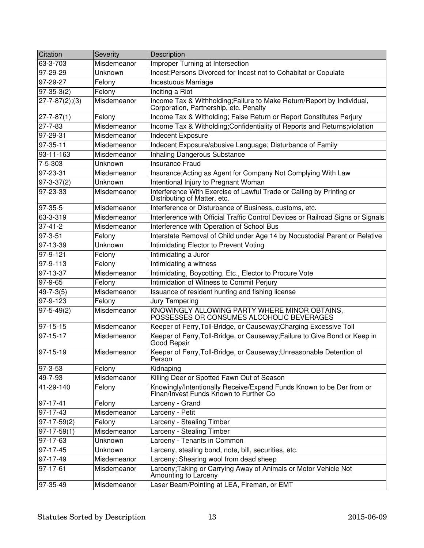| Citation              | Severity    | Description                                                                                                      |
|-----------------------|-------------|------------------------------------------------------------------------------------------------------------------|
| 63-3-703              | Misdemeanor | <b>Improper Turning at Intersection</b>                                                                          |
| $97 - 29 - 29$        | Unknown     | Incest; Persons Divorced for Incest not to Cohabitat or Copulate                                                 |
| 97-29-27              | Felony      | Incestuous Marriage                                                                                              |
| $97-35-3(2)$          | Felony      | Inciting a Riot                                                                                                  |
| $27 - 7 - 87(2); (3)$ | Misdemeanor | Income Tax & Withholding; Failure to Make Return/Report by Individual,<br>Corporation, Partnership, etc. Penalty |
| $ 27 - 7 - 87(1) $    | Felony      | Income Tax & Witholding; False Return or Report Constitutes Perjury                                              |
| $27 - 7 - 83$         | Misdemeanor | Income Tax & Witholding; Confidentiality of Reports and Returns; violation                                       |
| 97-29-31              | Misdemeanor | Indecent Exposure                                                                                                |
| 97-35-11              | Misdemeanor | Indecent Exposure/abusive Language; Disturbance of Family                                                        |
| 93-11-163             | Misdemeanor | Inhaling Dangerous Substance                                                                                     |
| 7-5-303               | Unknown     | <b>Insurance Fraud</b>                                                                                           |
| 97-23-31              | Misdemeanor | Insurance; Acting as Agent for Company Not Complying With Law                                                    |
| $97 - 3 - 37(2)$      | Unknown     | Intentional Injury to Pregnant Woman                                                                             |
| 97-23-33              | Misdemeanor | Interference With Exercise of Lawful Trade or Calling by Printing or<br>Distributing of Matter, etc.             |
| 97-35-5               | Misdemeanor | Interference or Disturbance of Business, customs, etc.                                                           |
| 63-3-319              | Misdemeanor | Interference with Official Traffic Control Devices or Railroad Signs or Signals                                  |
| $37 - 41 - 2$         | Misdemeanor | Interference with Operation of School Bus                                                                        |
| 97-3-51               | Felony      | Interstate Removal of Child under Age 14 by Nocustodial Parent or Relative                                       |
| 97-13-39              | Unknown     | Intimidating Elector to Prevent Voting                                                                           |
| 97-9-121              | Felony      | Intimidating a Juror                                                                                             |
| 97-9-113              | Felony      | Intimidating a witness                                                                                           |
| 97-13-37              | Misdemeanor | Intimidating, Boycotting, Etc., Elector to Procure Vote                                                          |
| 97-9-65               | Felony      | Intimidation of Witness to Commit Perjury                                                                        |
| $49 - 7 - 3(5)$       | Misdemeanor | Issuance of resident hunting and fishing license                                                                 |
| 97-9-123              | Felony      | Jury Tampering                                                                                                   |
| $97 - 5 - 49(2)$      | Misdemeanor | KNOWINGLY ALLOWING PARTY WHERE MINOR OBTAINS,<br>POSSESSES OR CONSUMES ALCOHOLIC BEVERAGES                       |
| $97 - 15 - 15$        | Misdemeanor | Keeper of Ferry, Toll-Bridge, or Causeway; Charging Excessive Toll                                               |
| 97-15-17              | Misdemeanor | Keeper of Ferry, Toll-Bridge, or Causeway; Failure to Give Bond or Keep in<br>Good Repair                        |
| 97-15-19              | Misdemeanor | Keeper of Ferry, Toll-Bridge, or Causeway; Unreasonable Detention of<br>Person                                   |
| 97-3-53               | Felony      | Kidnaping                                                                                                        |
| 49-7-93               | Misdemeanor | Killing Deer or Spotted Fawn Out of Season                                                                       |
| 41-29-140             | Felony      | Knowingly/Intentionally Receive/Expend Funds Known to be Der from or<br>Finan/Invest Funds Known to Further Co   |
| 97-17-41              | Felony      | Larceny - Grand                                                                                                  |
| $97 - 17 - 43$        | Misdemeanor | Larceny - Petit                                                                                                  |
| $97-17-59(2)$         | Felony      | Larceny - Stealing Timber                                                                                        |
| $97-17-59(1)$         | Misdemeanor | Larceny - Stealing Timber                                                                                        |
| 97-17-63              | Unknown     | Larceny - Tenants in Common                                                                                      |
| $97-17-45$            | Unknown     | Larceny, stealing bond, note, bill, securities, etc.                                                             |
| 97-17-49              | Misdemeanor | Larceny; Shearing wool from dead sheep                                                                           |
| 97-17-61              | Misdemeanor | Larceny; Taking or Carrying Away of Animals or Motor Vehicle Not<br>Amounting to Larceny                         |
| 97-35-49              | Misdemeanor | Laser Beam/Pointing at LEA, Fireman, or EMT                                                                      |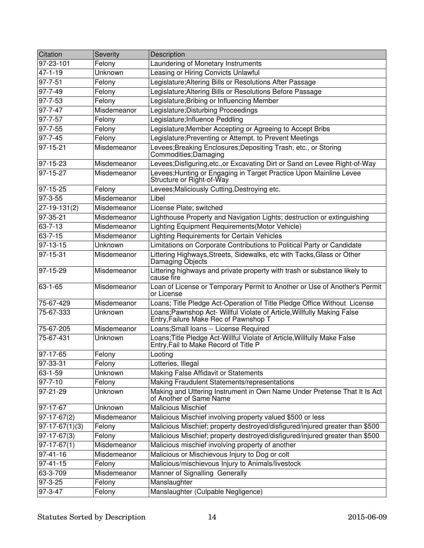| Citation         | Severity       | Description                                                                                                      |
|------------------|----------------|------------------------------------------------------------------------------------------------------------------|
| 97-23-101        | Felony         | Laundering of Monetary Instruments                                                                               |
| $47 - 1 - 19$    | <b>Unknown</b> | Leasing or Hiring Convicts Unlawful                                                                              |
| 97-7-51          | Felony         | Legislature; Altering Bills or Resolutions After Passage                                                         |
| 97-7-49          | Felony         | Legislature; Altering Bills or Resolutions Before Passage                                                        |
| 97-7-53          | Felony         | Legislature; Bribing or Influencing Member                                                                       |
| $97 - 7 - 47$    | Misdemeanor    | Legislature; Disturbing Proceedings                                                                              |
| 97-7-57          | Felony         | Legislature; Influence Peddling                                                                                  |
| 97-7-55          | Felony         | Legislature;Member Accepting or Agreeing to Accept Bribs                                                         |
| 97-7-45          | Felony         | Legislature; Preventing or Attempt. to Prevent Meetings                                                          |
| $97 - 15 - 21$   | Misdemeanor    | Levees; Breaking Enclosures; Depositing Trash, etc., or Storing<br>Commodities; Damaging                         |
| 97-15-23         | Misdemeanor    | Levees; Disfiguring, etc., or Excavating Dirt or Sand on Levee Right-of-Way                                      |
| 97-15-27         | Misdemeanor    | Levees; Hunting or Engaging in Target Practice Upon Mainline Levee<br>Structure or Right-of-Way                  |
| $97 - 15 - 25$   | Felony         | Levees; Maliciously Cutting, Destroying etc.                                                                     |
| $97 - 3 - 55$    | Misdemeanor    | Libel                                                                                                            |
| $27-19-131(2)$   | Misdemeanor    | License Plate; switched                                                                                          |
| 97-35-21         | Misdemeanor    | Lighthouse Property and Navigation Lights; destruction or extinguishing                                          |
| $63 - 7 - 13$    | Misdemeanor    | Lighting Equipment Requirements(Motor Vehicle)                                                                   |
| 63-7-15          | Misdemeanor    | <b>Lighting Requirements for Certain Vehicles</b>                                                                |
| 97-13-15         | Unknown        | Limitations on Corporate Contributions to Political Party or Candidate                                           |
| 97-15-31         | Misdemeanor    | Littering Highways, Streets, Sidewalks, etc with Tacks, Glass or Other<br>Damaging Objects                       |
| 97-15-29         | Misdemeanor    | Littering highways and private property with trash or substance likely to<br>cause fire                          |
| $63 - 1 - 65$    | Misdemeanor    | Loan of License or Temporary Permit to Another or Use of Another's Permit<br>or License                          |
| 75-67-429        | Misdemeanor    | Loans; Title Pledge Act-Operation of Title Pledge Office Without License                                         |
| 75-67-333        | Unknown        | Loans;Pawnshop Act- Willful Violate of Article, Willfully Making False<br>Entry, Failure Make Rec of Pawnshop T  |
| 75-67-205        | Misdemeanor    | Loans; Small loans -- License Required                                                                           |
| 75-67-431        | Unknown        | Loans;Title Pledge Act-Willful Violate of Article, Willfully Make False<br>Entry, Fail to Make Record of Title P |
| 97-17-65         | Felony         | Looting                                                                                                          |
| 97-33-31         | Felony         | Lotteries, Illegal                                                                                               |
| 63-1-59          | Unknown        | Making False Affidavit or Statements                                                                             |
| $97 - 7 - 10$    | Felony         | Making Fraudulent Statements/representations                                                                     |
| $97 - 21 - 29$   | <b>Unknown</b> | Making and Uttering Instrument in Own Name Under Pretense That It Is Act<br>of Another of Same Name              |
| 97-17-67         | Unknown        | <b>Malicious Mischief</b>                                                                                        |
| $97-17-67(2)$    | Misdemeanor    | Malicious Mischief involving property valued \$500 or less                                                       |
| $97-17-67(1)(3)$ | Felony         | Malicious Mischief; property destroyed/disfigured/injured greater than \$500                                     |
| $97-17-67(3)$    | Felony         | Malicious Mischief; property destroyed/disfigured/injured greater than \$500                                     |
| $97-17-67(1)$    | Misdemeanor    | Malicious mischief involving property of another                                                                 |
| 97-41-16         | Misdemeanor    | Malicious or Mischievous Injury to Dog or colt                                                                   |
| 97-41-15         | Felony         | Malicious/mischievous Injury to Animals/livestock                                                                |
| 63-3-709         | Misdemeanor    | Manner of Signalling Generally                                                                                   |
| 97-3-25          | Felony         | Manslaughter                                                                                                     |
| 97-3-47          | Felony         | Manslaughter (Culpable Negligence)                                                                               |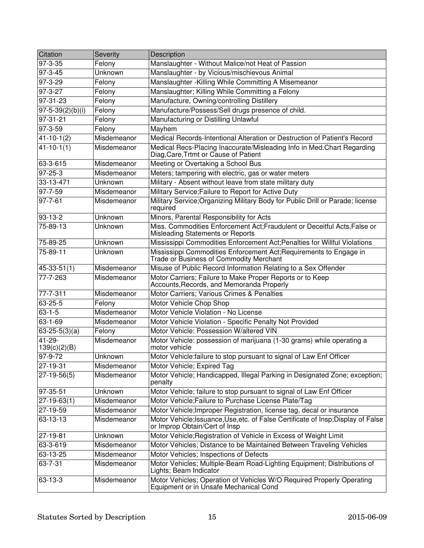| Citation                    | Severity    | Description                                                                                                        |
|-----------------------------|-------------|--------------------------------------------------------------------------------------------------------------------|
| 97-3-35                     | Felony      | Manslaughter - Without Malice/not Heat of Passion                                                                  |
| $97 - 3 - 45$               | Unknown     | Manslaughter - by Vicious/mischievous Animal                                                                       |
| 97-3-29                     | Felony      | Manslaughter - Killing While Committing A Misemeanor                                                               |
| 97-3-27                     | Felony      | Manslaughter; Killing While Committing a Felony                                                                    |
| $97 - 31 - 23$              | Felony      | Manufacture, Owning/controlling Distillery                                                                         |
| $97 - 5 - 39(2)(b)(i)$      | Felony      | Manufacture/Possess/Sell drugs presence of child.                                                                  |
| $97 - 31 - 21$              | Felony      | Manufacturing or Distilling Unlawful                                                                               |
| 97-3-59                     | Felony      | Mayhem                                                                                                             |
| $\sqrt{41-10-1}$ (2)        | Misdemeanor | Medical Records-Intentional Alteration or Destruction of Patient's Record                                          |
| $41 - 10 - 1(1)$            | Misdemeanor | Medical Recs-Placing Inaccurate/Misleading Info in Med.Chart Regarding<br>Diag, Care, Trtmt or Cause of Patient    |
| 63-3-615                    | Misdemeanor | Meeting or Overtaking a School Bus                                                                                 |
| 97-25-3                     | Misdemeanor | Meters; tampering with electric, gas or water meters                                                               |
| 33-13-471                   | Unknown     | Military - Absent without leave from state military duty                                                           |
| 97-7-59                     | Misdemeanor | Military Service; Failure to Report for Active Duty                                                                |
| $97 - 7 - 61$               | Misdemeanor | Military Service; Organizing Military Body for Public Drill or Parade; license<br>required                         |
| 93-13-2                     | Unknown     | Minors, Parental Responsibility for Acts                                                                           |
| 75-89-13                    | Unknown     | Miss. Commodities Enforcement Act;Fraudulent or Deceitful Acts,False or<br>Misleading Statements or Reports        |
| 75-89-25                    | Unknown     | Mississippi Commodities Enforcement Act; Penalties for Willful Violations                                          |
| 75-89-11                    | Unknown     | Mississippi Commodities Enforcement Act; Requirements to Engage in<br>Trade or Business of Commodity Merchant      |
| $45 - 33 - 51(1)$           | Misdemeanor | Misuse of Public Record Information Relating to a Sex Offender                                                     |
| 77-7-263                    | Misdemeanor | Motor Carriers; Failure to Make Proper Reports or to Keep<br>Accounts, Records, and Memoranda Properly             |
| 77-7-311                    | Misdemeanor | Motor Carriers; Various Crimes & Penalties                                                                         |
| 63-25-5                     | Felony      | Motor Vehicle Chop Shop                                                                                            |
| $63 - 1 - 5$                | Misdemeanor | Motor Vehicle Violation - No License                                                                               |
| 63-1-69                     | Misdemeanor | Motor Vehicle Violation - Specific Penalty Not Provided                                                            |
| $63-25-5(3)(a)$             | Felony      | Motor Vehicle: Possession W/altered VIN                                                                            |
| $41 - 29 -$<br>139(c)(2)(B) | Misdemeanor | Motor Vehicle: possession of marijuana (1-30 grams) while operating a<br>motor vehicle                             |
| 97-9-72                     | Unknown     | Motor Vehicle: failure to stop pursuant to signal of Law Enf Officer                                               |
| 27-19-31                    | Misdemeanor | Motor Vehicle; Expired Tag                                                                                         |
| 27-19-56(5)                 | Misdemeanor | Motor Vehicle; Handicapped, Illegal Parking in Designated Zone; exception;<br>penalty                              |
| 97-35-51                    | Unknown     | Motor Vehicle; failure to stop pursuant to signal of Law Enf Officer                                               |
| $\overline{27-19-63(1)}$    | Misdemeanor | Motor Vehicle; Failure to Purchase License Plate/Tag                                                               |
| 27-19-59                    | Misdemeanor | Motor Vehicle; Improper Registration, license tag, decal or insurance                                              |
| 63-13-13                    | Misdemeanor | Motor Vehicle; Issuance, Use, etc. of False Certificate of Insp; Display of False<br>or Improp Obtain/Cert of Insp |
| 27-19-81                    | Unknown     | Motor Vehicle; Registration of Vehicle in Excess of Weight Limit                                                   |
| 63-3-619                    | Misdemeanor | Motor Vehicles; Distance to be Maintained Between Traveling Vehicles                                               |
| 63-13-25                    | Misdemeanor | Motor Vehicles; Inspections of Defects                                                                             |
| $63 - 7 - 31$               | Misdemeanor | Motor Vehicles; Multiple-Beam Road-Lighting Equipment; Distributions of<br>Lights; Beam Indicator                  |
| 63-13-3                     | Misdemeanor | Motor Vehicles; Operation of Vehicles W/O Required Properly Operating<br>Equipment or in Unsafe Mechanical Cond    |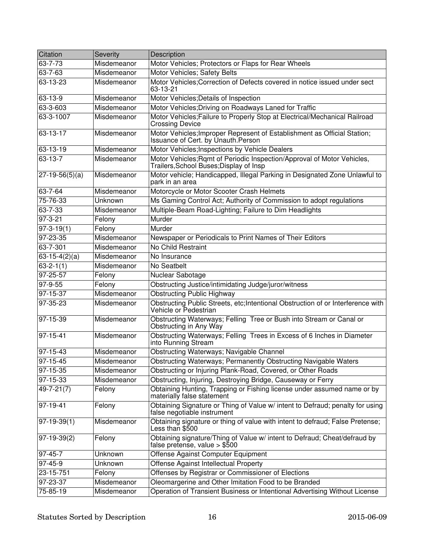| Citation                | Severity    | Description                                                                                                        |
|-------------------------|-------------|--------------------------------------------------------------------------------------------------------------------|
| 63-7-73                 | Misdemeanor | Motor Vehicles; Protectors or Flaps for Rear Wheels                                                                |
| $63 - 7 - 63$           | Misdemeanor | Motor Vehicles; Safety Belts                                                                                       |
| 63-13-23                | Misdemeanor | Motor Vehicles; Correction of Defects covered in notice issued under sect<br>63-13-21                              |
| 63-13-9                 | Misdemeanor | Motor Vehicles; Details of Inspection                                                                              |
| 63-3-603                | Misdemeanor | Motor Vehicles; Driving on Roadways Laned for Traffic                                                              |
| 63-3-1007               | Misdemeanor | Motor Vehicles; Failure to Properly Stop at Electrical/Mechanical Railroad<br><b>Crossing Device</b>               |
| 63-13-17                | Misdemeanor | Motor Vehicles; Improper Represent of Establishment as Official Station;<br>Issuance of Cert. by Unauth Person     |
| 63-13-19                | Misdemeanor | Motor Vehicles; Inspections by Vehicle Dealers                                                                     |
| $63 - 13 - 7$           | Misdemeanor | Motor Vehicles; Rqmt of Periodic Inspection/Approval of Motor Vehicles,<br>Trailers, School Buses; Display of Insp |
| $27-19-56(5)(a)$        | Misdemeanor | Motor vehicle; Handicapped, Illegal Parking in Designated Zone Unlawful to<br>park in an area                      |
| 63-7-64                 | Misdemeanor | Motorcycle or Motor Scooter Crash Helmets                                                                          |
| 75-76-33                | Unknown     | Ms Gaming Control Act; Authority of Commission to adopt regulations                                                |
| $63 - 7 - 33$           | Misdemeanor | Multiple-Beam Road-Lighting; Failure to Dim Headlights                                                             |
| $97 - 3 - 21$           | Felony      | Murder                                                                                                             |
| $\overline{97-3-19(1)}$ | Felony      | Murder                                                                                                             |
| 97-23-35                | Misdemeanor | Newspaper or Periodicals to Print Names of Their Editors                                                           |
| $63 - 7 - 301$          | Misdemeanor | No Child Restraint                                                                                                 |
| $63-15-4(2)(a)$         | Misdemeanor | No Insurance                                                                                                       |
| $63 - 2 - 1(1)$         | Misdemeanor | No Seatbelt                                                                                                        |
| 97-25-57                | Felony      | Nuclear Sabotage                                                                                                   |
| $97 - 9 - 55$           | Felony      | Obstructing Justice/intimidating Judge/juror/witness                                                               |
| 97-15-37                | Misdemeanor | <b>Obstructing Public Highway</b>                                                                                  |
| 97-35-23                | Misdemeanor | Obstructing Public Streets, etc;Intentional Obstruction of or Interference with<br>Vehicle or Pedestrian           |
| 97-15-39                | Misdemeanor | Obstructing Waterways; Felling Tree or Bush into Stream or Canal or<br>Obstructing in Any Way                      |
| 97-15-41                | Misdemeanor | Obstructing Waterways; Felling Trees in Excess of 6 Inches in Diameter<br>into Running Stream                      |
| $97 - 15 - 43$          | Misdemeanor | Obstructing Waterways; Navigable Channel                                                                           |
| $97 - 15 - 45$          | Misdemeanor | <b>Obstructing Waterways; Permanently Obstructing Navigable Waters</b>                                             |
| 97-15-35                | Misdemeanor | Obstructing or Injuring Plank-Road, Covered, or Other Roads                                                        |
| 97-15-33                | Misdemeanor | Obstructing, Injuring, Destroying Bridge, Causeway or Ferry                                                        |
| $49 - 7 - 21(7)$        | Felony      | Obtaining Hunting, Trapping or Fishing license under assumed name or by<br>materially false statement              |
| 97-19-41                | Felony      | Obtaining Signature or Thing of Value w/ intent to Defraud; penalty for using<br>false negotiable instrument       |
| 97-19-39(1)             | Misdemeanor | Obtaining signature or thing of value with intent to defraud; False Pretense;<br>Less than \$500                   |
| $97-19-39(2)$           | Felony      | Obtaining signature/Thing of Value w/ intent to Defraud; Cheat/defraud by<br>false pretense, value $>$ \$500       |
| $97 - 45 - 7$           | Unknown     | Offense Against Computer Equipment                                                                                 |
| $97 - 45 - 9$           | Unknown     | Offense Against Intellectual Property                                                                              |
| 23-15-751               | Felony      | Offenses by Registrar or Commissioner of Elections                                                                 |
| 97-23-37                | Misdemeanor | Oleomargerine and Other Imitation Food to be Branded                                                               |
| 75-85-19                | Misdemeanor | Operation of Transient Business or Intentional Advertising Without License                                         |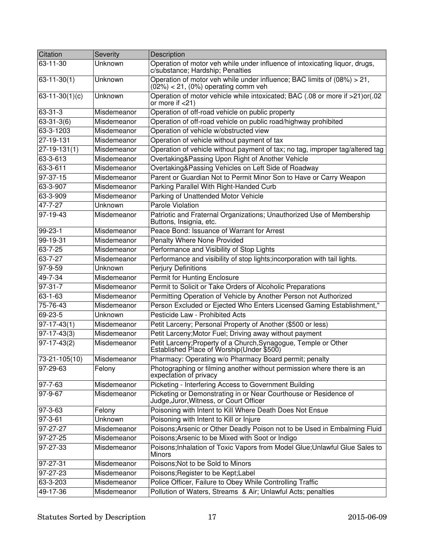| Citation          | Severity    | Description                                                                                                         |
|-------------------|-------------|---------------------------------------------------------------------------------------------------------------------|
| 63-11-30          | Unknown     | Operation of motor veh while under influence of intoxicating liquor, drugs,<br>c/substance; Hardship; Penalties     |
| $63 - 11 - 30(1)$ | Unknown     | Operation of motor veh while under influence; BAC limits of (08%) > 21,<br>$(02%) < 21$ , $(0%)$ operating comm veh |
| $63-11-30(1)(c)$  | Unknown     | Operation of motor vehicle while intoxicated; BAC (.08 or more if >21)or(.02<br>or more if $<$ 21)                  |
| 63-31-3           | Misdemeanor | Operation of off-road vehicle on public property                                                                    |
| $63 - 31 - 3(6)$  | Misdemeanor | Operation of off-road vehicle on public road/highway prohibited                                                     |
| 63-3-1203         | Misdemeanor | Operation of vehicle w/obstructed view                                                                              |
| 27-19-131         | Misdemeanor | Operation of vehicle without payment of tax                                                                         |
| $27-19-131(1)$    | Misdemeanor | Operation of vehicle without payment of tax; no tag, improper tag/altered tag                                       |
| 63-3-613          | Misdemeanor | Overtaking&Passing Upon Right of Another Vehicle                                                                    |
| 63-3-611          | Misdemeanor | Overtaking&Passing Vehicles on Left Side of Roadway                                                                 |
| $97 - 37 - 15$    | Misdemeanor | Parent or Guardian Not to Permit Minor Son to Have or Carry Weapon                                                  |
| 63-3-907          | Misdemeanor | Parking Parallel With Right-Handed Curb                                                                             |
| 63-3-909          | Misdemeanor | Parking of Unattended Motor Vehicle                                                                                 |
| 47-7-27           | Unknown     | Parole Violation                                                                                                    |
| $ 97-19-43 $      | Misdemeanor | Patriotic and Fraternal Organizations; Unauthorized Use of Membership<br>Buttons, Insignia, etc.                    |
| 99-23-1           | Misdemeanor | Peace Bond: Issuance of Warrant for Arrest                                                                          |
| 99-19-31          | Misdemeanor | <b>Penalty Where None Provided</b>                                                                                  |
| 63-7-25           | Misdemeanor | Performance and Visibility of Stop Lights                                                                           |
| 63-7-27           | Misdemeanor | Performance and visibility of stop lights; incorporation with tail lights.                                          |
| $97 - 9 - 59$     | Unknown     | <b>Perjury Definitions</b>                                                                                          |
| 49-7-34           | Misdemeanor | <b>Permit for Hunting Enclosure</b>                                                                                 |
| 97-31-7           | Misdemeanor | Permit to Solicit or Take Orders of Alcoholic Preparations                                                          |
| 63-1-63           | Misdemeanor | Permitting Operation of Vehicle by Another Person not Authorized                                                    |
| 75-76-43          | Misdemeanor | Person Excluded or Ejected Who Enters Licensed Gaming Establishment,"                                               |
| 69-23-5           | Unknown     | Pesticide Law - Prohibited Acts                                                                                     |
| $ 97-17-43(1) $   | Misdemeanor | Petit Larceny; Personal Property of Another (\$500 or less)                                                         |
| $ 97-17-43(3) $   | Misdemeanor | Petit Larceny; Motor Fuel; Driving away without payment                                                             |
| $97-17-43(2)$     | Misdemeanor | Petit Larceny; Property of a Church, Synagogue, Temple or Other Established Place of Worship(Under \$500)           |
| 73-21-105(10)     | Misdemeanor | Pharmacy: Operating w/o Pharmacy Board permit; penalty                                                              |
| 97-29-63          | Felony      | Photographing or filming another without permission where there is an<br>expectation of privacy                     |
| 97-7-63           | Misdemeanor | Picketing - Interfering Access to Government Building                                                               |
| 97-9-67           | Misdemeanor | Picketing or Demonstrating in or Near Courthouse or Residence of Judge, Juror, Witness, or Court Officer            |
| 97-3-63           | Felony      | Poisoning with Intent to Kill Where Death Does Not Ensue                                                            |
| 97-3-61           | Unknown     | Poisoning with Intent to Kill or Injure                                                                             |
| 97-27-27          | Misdemeanor | Poisons; Arsenic or Other Deadly Poison not to be Used in Embalming Fluid                                           |
| 97-27-25          | Misdemeanor | Poisons; Arsenic to be Mixed with Soot or Indigo                                                                    |
| 97-27-33          | Misdemeanor | Poisons; Inhalation of Toxic Vapors from Model Glue; Unlawful Glue Sales to<br><b>Minors</b>                        |
| 97-27-31          | Misdemeanor | Poisons; Not to be Sold to Minors                                                                                   |
| 97-27-23          | Misdemeanor | Poisons; Register to be Kept; Label                                                                                 |
| 63-3-203          | Misdemeanor | Police Officer, Failure to Obey While Controlling Traffic                                                           |
| 49-17-36          | Misdemeanor | Pollution of Waters, Streams & Air; Unlawful Acts; penalties                                                        |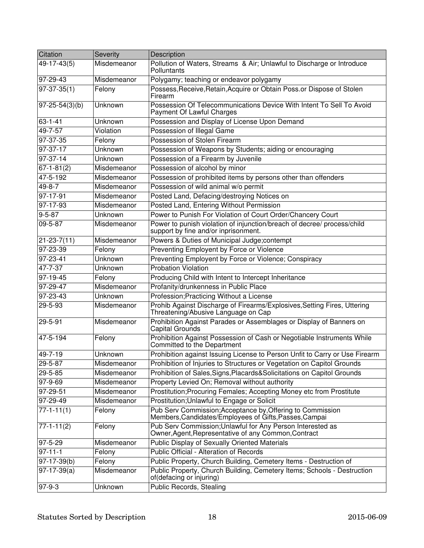| Citation             | <b>Severity</b> | Description                                                                                                          |
|----------------------|-----------------|----------------------------------------------------------------------------------------------------------------------|
| 49-17-43(5)          | Misdemeanor     | Pollution of Waters, Streams & Air; Unlawful to Discharge or Introduce<br>Polluntants                                |
| 97-29-43             | Misdemeanor     | Polygamy; teaching or endeavor polygamy                                                                              |
| $97-37-35(1)$        | Felony          | Possess, Receive, Retain, Acquire or Obtain Poss. or Dispose of Stolen<br>Firearm                                    |
| $97 - 25 - 54(3)(b)$ | Unknown         | Possession Of Telecommunications Device With Intent To Sell To Avoid<br>Payment Of Lawful Charges                    |
| $63 - 1 - 41$        | Unknown         | Possession and Display of License Upon Demand                                                                        |
| 49-7-57              | Violation       | Possession of Illegal Game                                                                                           |
| 97-37-35             | Felony          | Possession of Stolen Firearm                                                                                         |
| 97-37-17             | Unknown         | Possession of Weapons by Students; aiding or encouraging                                                             |
| $97-37-14$           | Unknown         | Possession of a Firearm by Juvenile                                                                                  |
| $67 - 1 - 81(2)$     | Misdemeanor     | Possession of alcohol by minor                                                                                       |
| 47-5-192             | Misdemeanor     | Possession of prohibited items by persons other than offenders                                                       |
| $49 - 8 - 7$         | Misdemeanor     | Possession of wild animal w/o permit                                                                                 |
| 97-17-91             | Misdemeanor     | Posted Land, Defacing/destroying Notices on                                                                          |
| $97 - 17 - 93$       | Misdemeanor     | Posted Land, Entering Without Permission                                                                             |
| $9 - 5 - 87$         | Unknown         | Power to Punish For Violation of Court Order/Chancery Court                                                          |
| 09-5-87              | Misdemeanor     | Power to punish violation of injunction/breach of decree/ process/child<br>support by fine and/or inprisonment.      |
| $21 - 23 - 7(11)$    | Misdemeanor     | Powers & Duties of Municipal Judge;contempt                                                                          |
| 97-23-39             | Felony          | Preventing Employent by Force or Violence                                                                            |
| $97 - 23 - 41$       | Unknown         | Preventing Employent by Force or Violence; Conspiracy                                                                |
| $47 - 7 - 37$        | Unknown         | <b>Probation Violation</b>                                                                                           |
| 97-19-45             | Felony          | Producing Child with Intent to Intercept Inheritance                                                                 |
| $97 - 29 - 47$       | Misdemeanor     | Profanity/drunkenness in Public Place                                                                                |
| 97-23-43             | Unknown         | Profession; Practicing Without a License                                                                             |
| 29-5-93              | Misdemeanor     | Prohib Against Discharge of Firearms/Explosives, Setting Fires, Uttering<br>Threatening/Abusive Language on Cap      |
| 29-5-91              | Misdemeanor     | Prohibition Against Parades or Assemblages or Display of Banners on<br>Capital Grounds                               |
| 47-5-194             | Felony          | Prohibition Against Possession of Cash or Negotiable Instruments While<br>Committed to the Department                |
| 49-7-19              | Unknown         | Prohibition against Issuing License to Person Unfit to Carry or Use Firearm                                          |
| 29-5-87              | Misdemeanor     | Prohibition of Injuries to Structures or Vegetation on Capitol Grounds                                               |
| 29-5-85              | Misdemeanor     | Prohibition of Sales, Signs, Placards & Solicitations on Capitol Grounds                                             |
| $97 - 9 - 69$        | Misdemeanor     | Property Levied On; Removal without authority                                                                        |
| $97 - 29 - 51$       | Misdemeanor     | Prostitution; Procuring Females; Accepting Money etc from Prostitute                                                 |
| $97 - 29 - 49$       | Misdemeanor     | Prostitution; Unlawful to Engage or Solicit                                                                          |
| $77 - 1 - 11(1)$     | Felony          | Pub Serv Commission; Acceptance by, Offering to Commission<br>Members, Candidates/Employees of Gifts, Passes, Campai |
| $77-1-11(2)$         | Felony          | Pub Serv Commission; Unlawful for Any Person Interested as<br>Owner, Agent, Representative of any Common, Contract   |
| $97 - 5 - 29$        | Misdemeanor     | Public Display of Sexually Oriented Materials                                                                        |
| $97 - 11 - 1$        | Felony          | Public Official - Alteration of Records                                                                              |
| $97-17-39(b)$        | Felony          | Public Property, Church Building, Cemetery Items - Destruction of                                                    |
| $97-17-39(a)$        | Misdemeanor     | Public Property, Church Building, Cemetery Items; Schools - Destruction<br>of(defacing or injuring)                  |
| 97-9-3               | Unknown         | Public Records, Stealing                                                                                             |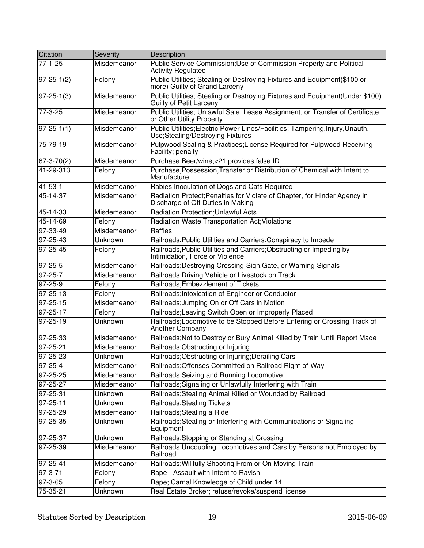| Citation               | Severity    | Description                                                                                                       |
|------------------------|-------------|-------------------------------------------------------------------------------------------------------------------|
| $77-1-25$              | Misdemeanor | Public Service Commission; Use of Commission Property and Political<br><b>Activity Regulated</b>                  |
| $97-25-1(2)$           | Felony      | Public Utilities; Stealing or Destroying Fixtures and Equipment(\$100 or<br>more) Guilty of Grand Larceny         |
| $97 - 25 - 1(3)$       | Misdemeanor | Public Utilities; Stealing or Destroying Fixtures and Equipment(Under \$100)<br>Guilty of Petit Larceny           |
| 77-3-25                | Misdemeanor | Public Utilities; Unlawful Sale, Lease Assignment, or Transfer of Certificate<br>or Other Utility Property        |
| $97 - 25 - 1(1)$       | Misdemeanor | Public Utilities; Electric Power Lines/Facilities; Tampering, Injury, Unauth.<br>Use;Stealing/Destroying Fixtures |
| 75-79-19               | Misdemeanor | Pulpwood Scaling & Practices; License Required for Pulpwood Receiving<br>Facility; penalty                        |
| $67 - 3 - 70(2)$       | Misdemeanor | Purchase Beer/wine;<21 provides false ID                                                                          |
| 41-29-313              | Felony      | Purchase, Possession, Transfer or Distribution of Chemical with Intent to<br>Manufacture                          |
| 41-53-1                | Misdemeanor | Rabies Inoculation of Dogs and Cats Required                                                                      |
| 45-14-37               | Misdemeanor | Radiation Protect; Penalties for Violate of Chapter, for Hinder Agency in<br>Discharge of Off Duties in Making    |
| 45-14-33               | Misdemeanor | <b>Radiation Protection; Unlawful Acts</b>                                                                        |
| 45-14-69               | Felony      | Radiation Waste Transportation Act; Violations                                                                    |
| 97-33-49               | Misdemeanor | Raffles                                                                                                           |
| 97-25-43               | Unknown     | Railroads, Public Utilities and Carriers; Conspiracy to Impede                                                    |
| 97-25-45               | Felony      | Railroads, Public Utilities and Carriers; Obstructing or Impeding by<br>Intimidation, Force or Violence           |
| 97-25-5                | Misdemeanor | Railroads; Destroying Crossing-Sign, Gate, or Warning-Signals                                                     |
| 97-25-7                | Misdemeanor | Railroads; Driving Vehicle or Livestock on Track                                                                  |
| 97-25-9                | Felony      | Railroads; Embezzlement of Tickets                                                                                |
| 97-25-13               | Felony      | Railroads; Intoxication of Engineer or Conductor                                                                  |
| 97-25-15               | Misdemeanor | Railroads; Jumping On or Off Cars in Motion                                                                       |
| 97-25-17               | Felony      | Railroads; Leaving Switch Open or Improperly Placed                                                               |
| $97 - 25 - 19$         | Unknown     | Railroads; Locomotive to be Stopped Before Entering or Crossing Track of<br>Another Company                       |
| 97-25-33               | Misdemeanor | Railroads; Not to Destroy or Bury Animal Killed by Train Until Report Made                                        |
| 97-25-21               | Misdemeanor | Railroads; Obstructing or Injuring                                                                                |
| 97-25-23               | Unknown     | Railroads; Obstructing or Injuring; Derailing Cars                                                                |
| 97-25-4                | Misdemeanor | Railroads; Offenses Committed on Railroad Right-of-Way                                                            |
| $\overline{97}$ -25-25 | Misdemeanor | Railroads; Seizing and Running Locomotive                                                                         |
| 97-25-27               | Misdemeanor | Railroads; Signaling or Unlawfully Interfering with Train                                                         |
| 97-25-31               | Unknown     | Railroads; Stealing Animal Killed or Wounded by Railroad                                                          |
| 97-25-11               | Unknown     | <b>Railroads; Stealing Tickets</b>                                                                                |
| 97-25-29               | Misdemeanor | Railroads; Stealing a Ride                                                                                        |
| 97-25-35               | Unknown     | Railroads; Stealing or Interfering with Communications or Signaling<br>Equipment                                  |
| 97-25-37               | Unknown     | Railroads; Stopping or Standing at Crossing                                                                       |
| 97-25-39               | Misdemeanor | Railroads; Uncoupling Locomotives and Cars by Persons not Employed by<br>Railroad                                 |
| 97-25-41               | Misdemeanor | Railroads; Willfully Shooting From or On Moving Train                                                             |
| 97-3-71                | Felony      | Rape - Assault with Intent to Ravish                                                                              |
| 97-3-65                | Felony      | Rape; Carnal Knowledge of Child under 14                                                                          |
| 75-35-21               | Unknown     | Real Estate Broker; refuse/revoke/suspend license                                                                 |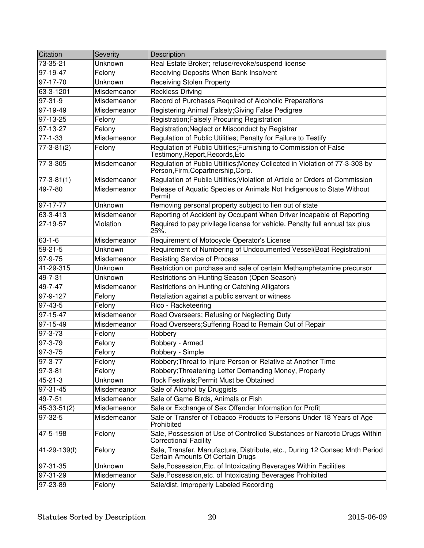| Citation               | Severity    | Description                                                                                                       |
|------------------------|-------------|-------------------------------------------------------------------------------------------------------------------|
| $\overline{73}$ -35-21 | Unknown     | Real Estate Broker; refuse/revoke/suspend license                                                                 |
| $97 - 19 - 47$         | Felony      | Receiving Deposits When Bank Insolvent                                                                            |
| 97-17-70               | Unknown     | <b>Receiving Stolen Property</b>                                                                                  |
| 63-3-1201              | Misdemeanor | <b>Reckless Driving</b>                                                                                           |
| $97 - 31 - 9$          | Misdemeanor | Record of Purchases Required of Alcoholic Preparations                                                            |
| $97-19-49$             | Misdemeanor | Registering Animal Falsely; Giving False Pedigree                                                                 |
| 97-13-25               | Felony      | <b>Registration; Falsely Procuring Registration</b>                                                               |
| 97-13-27               | Felony      | Registration; Neglect or Misconduct by Registrar                                                                  |
| $77-1-33$              | Misdemeanor | Regulation of Public Utilities; Penalty for Failure to Testify                                                    |
| $77-3-81(2)$           | Felony      | Regulation of Public Utilities; Furnishing to Commission of False<br>Testimony, Report, Records, Etc              |
| 77-3-305               | Misdemeanor | Regulation of Public Utilities; Money Collected in Violation of 77-3-303 by<br>Person, Firm, Copartnership, Corp. |
| $77 - 3 - 81(1)$       | Misdemeanor | Regulation of Public Utilities; Violation of Article or Orders of Commission                                      |
| 49-7-80                | Misdemeanor | Release of Aquatic Species or Animals Not Indigenous to State Without<br>Permit                                   |
| 97-17-77               | Unknown     | Removing personal property subject to lien out of state                                                           |
| 63-3-413               | Misdemeanor | Reporting of Accident by Occupant When Driver Incapable of Reporting                                              |
| 27-19-57               | Violation   | Required to pay privilege license for vehicle. Penalty full annual tax plus<br>$25%$ .                            |
| $63 - 1 - 6$           | Misdemeanor | Requirement of Motocycle Operator's License                                                                       |
| $59 - 21 - 5$          | Unknown     | Requirement of Numbering of Undocumented Vessel(Boat Registration)                                                |
| $97 - 9 - 75$          | Misdemeanor | <b>Resisting Service of Process</b>                                                                               |
| 41-29-315              | Unknown     | Restriction on purchase and sale of certain Methamphetamine precursor                                             |
| $49 - 7 - 31$          | Unknown     | Restrictions on Hunting Season (Open Season)                                                                      |
| 49-7-47                | Misdemeanor | Restrictions on Hunting or Catching Alligators                                                                    |
| $97 - 9 - 127$         | Felony      | Retaliation against a public servant or witness                                                                   |
| $97 - 43 - 5$          | Felony      | Rico - Racketeering                                                                                               |
| $97 - 15 - 47$         | Misdemeanor | Road Overseers; Refusing or Neglecting Duty                                                                       |
| 97-15-49               | Misdemeanor | Road Overseers; Suffering Road to Remain Out of Repair                                                            |
| $97 - 3 - 73$          | Felony      | Robbery                                                                                                           |
| $97 - 3 - 79$          | Felony      | Robbery - Armed                                                                                                   |
| $97 - 3 - 75$          | Felony      | Robbery - Simple                                                                                                  |
| $97 - 3 - 77$          | Felony      | Robbery; Threat to Injure Person or Relative at Another Time                                                      |
| 97-3-81                | Felony      | Robbery; Threatening Letter Demanding Money, Property                                                             |
| 45-21-3                | Unknown     | Rock Festivals; Permit Must be Obtained                                                                           |
| 97-31-45               | Misdemeanor | Sale of Alcohol by Druggists                                                                                      |
| 49-7-51                | Misdemeanor | Sale of Game Birds, Animals or Fish                                                                               |
| $45-33-51(2)$          | Misdemeanor | Sale or Exchange of Sex Offender Information for Profit                                                           |
| 97-32-5                | Misdemeanor | Sale or Transfer of Tobacco Products to Persons Under 18 Years of Age<br>Prohibited                               |
| 47-5-198               | Felony      | Sale, Possession of Use of Controlled Substances or Narcotic Drugs Within<br><b>Correctional Facility</b>         |
| 41-29-139(f)           | Felony      | Sale, Transfer, Manufacture, Distribute, etc., During 12 Consec Mnth Period<br>Certain Amounts Of Certain Drugs   |
| 97-31-35               | Unknown     | Sale, Possession, Etc. of Intoxicating Beverages Within Facilities                                                |
| 97-31-29               | Misdemeanor | Sale, Possession, etc. of Intoxicating Beverages Prohibited                                                       |
| 97-23-89               | Felony      | Sale/dist. Improperly Labeled Recording                                                                           |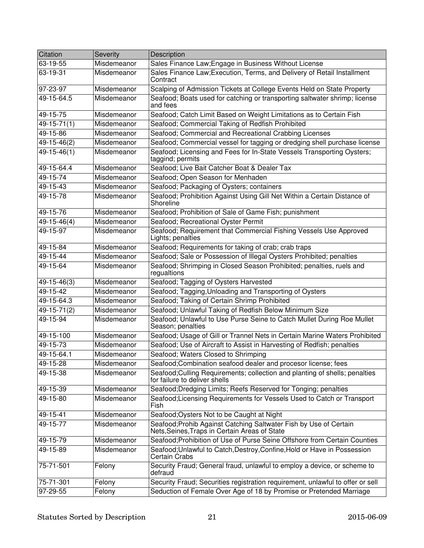| Citation          | Severity    | Description                                                                                                        |
|-------------------|-------------|--------------------------------------------------------------------------------------------------------------------|
| 63-19-55          | Misdemeanor | Sales Finance Law; Engage in Business Without License                                                              |
| $63 - 19 - 31$    | Misdemeanor | Sales Finance Law; Execution, Terms, and Delivery of Retail Installment<br>Contract                                |
| 97-23-97          | Misdemeanor | Scalping of Admission Tickets at College Events Held on State Property                                             |
| 49-15-64.5        | Misdemeanor | Seafood; Boats used for catching or transporting saltwater shrimp; license<br>and fees                             |
| 49-15-75          | Misdemeanor | Seafood; Catch Limit Based on Weight Limitations as to Certain Fish                                                |
| 49-15-71(1)       | Misdemeanor | Seafood; Commercial Taking of Redfish Prohibited                                                                   |
| 49-15-86          | Misdemeanor | Seafood; Commercial and Recreational Crabbing Licenses                                                             |
| 49-15-46(2)       | Misdemeanor | Seafood; Commercial vessel for tagging or dredging shell purchase license                                          |
| $49 - 15 - 46(1)$ | Misdemeanor | Seafood; Licensing and Fees for In-State Vessels Transporting Oysters;<br>taggind; permits                         |
| 49-15-64.4        | Misdemeanor | Seafood; Live Bait Catcher Boat & Dealer Tax                                                                       |
| 49-15-74          | Misdemeanor | Seafood; Open Season for Menhaden                                                                                  |
| 49-15-43          | Misdemeanor | Seafood; Packaging of Oysters; containers                                                                          |
| 49-15-78          | Misdemeanor | Seafood; Prohibition Against Using Gill Net Within a Certain Distance of<br>Shoreline                              |
| 49-15-76          | Misdemeanor | Seafood; Prohibition of Sale of Game Fish; punishment                                                              |
| $49 - 15 - 46(4)$ | Misdemeanor | Seafood; Recreational Oyster Permit                                                                                |
| 49-15-97          | Misdemeanor | Seafood; Requirement that Commercial Fishing Vessels Use Approved<br>Lights; penalties                             |
| 49-15-84          | Misdemeanor | Seafood; Requirements for taking of crab; crab traps                                                               |
| 49-15-44          | Misdemeanor | Seafood; Sale or Possession of Illegal Oysters Prohibited; penalties                                               |
| 49-15-64          | Misdemeanor | Seafood; Shrimping in Closed Season Prohibited; penalties, ruels and<br>regualtions                                |
| 49-15-46(3)       | Misdemeanor | Seafood; Tagging of Oysters Harvested                                                                              |
| 49-15-42          | Misdemeanor | Seafood; Tagging, Unloading and Transporting of Oysters                                                            |
| 49-15-64.3        | Misdemeanor | Seafood; Taking of Certain Shrimp Prohibited                                                                       |
| $49-15-71(2)$     | Misdemeanor | Seafood; Unlawful Taking of Redfish Below Minimum Size                                                             |
| 49-15-94          | Misdemeanor | Seafood; Unlawful to Use Purse Seine to Catch Mullet During Roe Mullet<br>Season; penalties                        |
| 49-15-100         | Misdemeanor | Seafood; Usage of Gill or Trannel Nets in Certain Marine Waters Prohibited                                         |
| 49-15-73          | Misdemeanor | Seafood; Use of Aircraft to Assist in Harvesting of Redfish; penalties                                             |
| 49-15-64.1        | Misdemeanor | Seafood; Waters Closed to Shrimping                                                                                |
| 49-15-28          | Misdemeanor | Seafood; Combination seafood dealer and procesor license; fees                                                     |
| 49-15-38          | Misdemeanor | Seafood; Culling Requirements; collection and planting of shells; penalties<br>for failure to deliver shells       |
| 49-15-39          | Misdemeanor | Seafood; Dredging Limits; Reefs Reserved for Tonging; penalties                                                    |
| 49-15-80          | Misdemeanor | Seafood; Licensing Requirements for Vessels Used to Catch or Transport<br>Fish                                     |
| 49-15-41          | Misdemeanor | Seafood; Oysters Not to be Caught at Night                                                                         |
| 49-15-77          | Misdemeanor | Seafood; Prohib Against Catching Saltwater Fish by Use of Certain<br>Nets, Seines, Traps in Certain Areas of State |
| 49-15-79          | Misdemeanor | Seafood; Prohibition of Use of Purse Seine Offshore from Certain Counties                                          |
| 49-15-89          | Misdemeanor | Seafood; Unlawful to Catch, Destroy, Confine, Hold or Have in Possession<br><b>Certain Crabs</b>                   |
| 75-71-501         | Felony      | Security Fraud; General fraud, unlawful to employ a device, or scheme to<br>defraud                                |
| 75-71-301         | Felony      | Security Fraud; Securities registration requirement, unlawful to offer or sell                                     |
| 97-29-55          | Felony      | Seduction of Female Over Age of 18 by Promise or Pretended Marriage                                                |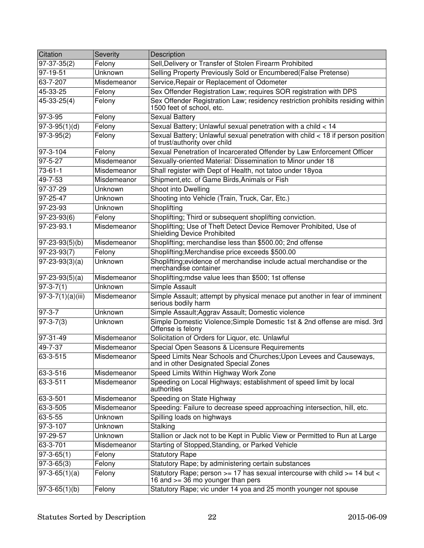| Citation                     | <b>Severity</b> | Description                                                                                                         |
|------------------------------|-----------------|---------------------------------------------------------------------------------------------------------------------|
| $\overline{97} - 37 - 35(2)$ | Felony          | Sell, Delivery or Transfer of Stolen Firearm Prohibited                                                             |
| 97-19-51                     | Unknown         | Selling Property Previously Sold or Encumbered(False Pretense)                                                      |
| 63-7-207                     | Misdemeanor     | Service, Repair or Replacement of Odometer                                                                          |
| 45-33-25                     | Felony          | Sex Offender Registration Law; requires SOR registration with DPS                                                   |
| $45 - 33 - 25(4)$            | Felony          | Sex Offender Registration Law; residency restriction prohibits residing within<br>1500 feet of school, etc.         |
| 97-3-95                      | Felony          | <b>Sexual Battery</b>                                                                                               |
| $\overline{97-3-95(1)}$ (d)  | Felony          | Sexual Battery; Unlawful sexual penetration with a child < 14                                                       |
| $97 - 3 - 95(2)$             | Felony          | Sexual Battery; Unlawful sexual penetration with child < 18 if person position<br>of trust/authority over child     |
| 97-3-104                     | Felony          | Sexual Penetration of Incarcerated Offender by Law Enforcement Officer                                              |
| $97 - 5 - 27$                | Misdemeanor     | Sexually-oriented Material: Dissemination to Minor under 18                                                         |
| $73 - 61 - 1$                | Misdemeanor     | Shall register with Dept of Health, not tatoo under 18yoa                                                           |
| 49-7-53                      | Misdemeanor     | Shipment, etc. of Game Birds, Animals or Fish                                                                       |
| 97-37-29                     | Unknown         | <b>Shoot into Dwelling</b>                                                                                          |
| $97 - 25 - 47$               | Unknown         | Shooting into Vehicle (Train, Truck, Car, Etc.)                                                                     |
| 97-23-93                     | Unknown         | Shoplifting                                                                                                         |
| $97 - 23 - 93(6)$            | Felony          | Shoplifting; Third or subsequent shoplifting conviction.                                                            |
| $97 - 23 - 93.1$             | Misdemeanor     | Shoplifting; Use of Theft Detect Device Remover Prohibited, Use of<br><b>Shielding Device Prohibited</b>            |
| $97 - 23 - 93(5)(b)$         | Misdemeanor     | Shoplifting; merchandise less than \$500.00; 2nd offense                                                            |
| $97 - 23 - 93(7)$            | Felony          | Shoplifting; Merchandise price exceeds \$500.00                                                                     |
| $97 - 23 - 93(3)(a)$         | Unknown         | Shoplifting; evidence of merchandise include actual merchandise or the<br>merchandise container                     |
| $97 - 23 - 93(5)(a)$         | Misdemeanor     | Shoplifting; mdse value lees than \$500; 1st offense                                                                |
| $97 - 3 - 7(1)$              | Unknown         | Simple Assault                                                                                                      |
| $97 - 3 - 7(1)(a)(iii)$      | Misdemeanor     | Simple Assault; attempt by physical menace put another in fear of imminent<br>serious bodily harm                   |
| $97 - 3 - 7$                 | Unknown         | Simple Assault; Aggrav Assault; Domestic violence                                                                   |
| $97 - 3 - 7(3)$              | Unknown         | Simple Domestic Violence; Simple Domestic 1st & 2nd offense are misd. 3rd<br>Offense is felony                      |
| 97-31-49                     | Misdemeanor     | Solicitation of Orders for Liquor, etc. Unlawful                                                                    |
| 49-7-37                      | Misdemeanor     | Special Open Seasons & Licensure Requirements                                                                       |
| 63-3-515                     | Misdemeanor     | Speed Limits Near Schools and Churches; Upon Levees and Causeways,<br>and in other Designated Special Zones         |
| 63-3-516                     | Misdemeanor     | Speed Limits Within Highway Work Zone                                                                               |
| 63-3-511                     | Misdemeanor     | Speeding on Local Highways; establishment of speed limit by local<br>authorities                                    |
| 63-3-501                     | Misdemeanor     | Speeding on State Highway                                                                                           |
| 63-3-505                     | Misdemeanor     | Speeding: Failure to decrease speed approaching intersection, hill, etc.                                            |
| $63 - 5 - 55$                | Unknown         | Spilling loads on highways                                                                                          |
| $97 - 3 - 107$               | Unknown         | Stalking                                                                                                            |
| 97-29-57                     | Unknown         | Stallion or Jack not to be Kept in Public View or Permitted to Run at Large                                         |
| 63-3-701                     | Misdemeanor     | Starting of Stopped, Standing, or Parked Vehicle                                                                    |
| $97 - 3 - 65(1)$             | Felony          | <b>Statutory Rape</b>                                                                                               |
| $97-3-65(3)$                 | Felony          | Statutory Rape; by administering certain substances                                                                 |
| $97-3-65(1)(a)$              | Felony          | Statutory Rape; person >= 17 has sexual intercourse with child >= 14 but <<br>16 and $\geq$ 36 mo younger than pers |
| $97 - 3 - 65(1)(b)$          | Felony          | Statutory Rape; vic under 14 yoa and 25 month younger not spouse                                                    |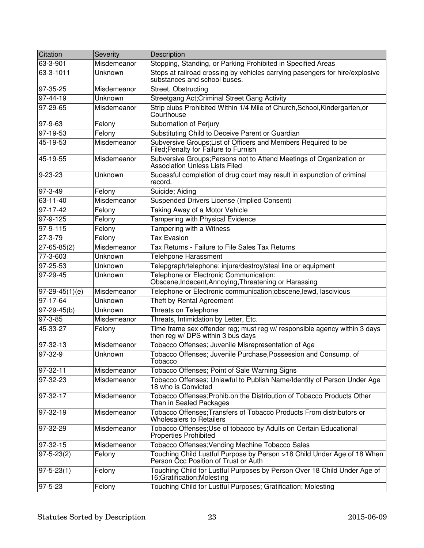| Citation          | Severity    | <b>Description</b>                                                                                              |
|-------------------|-------------|-----------------------------------------------------------------------------------------------------------------|
| 63-3-901          | Misdemeanor | Stopping, Standing, or Parking Prohibited in Specified Areas                                                    |
| 63-3-1011         | Unknown     | Stops at railroad crossing by vehicles carrying pasengers for hire/explosive<br>substances and school buses.    |
| 97-35-25          | Misdemeanor | Street, Obstructing                                                                                             |
| 97-44-19          | Unknown     | Streetgang Act; Criminal Street Gang Activity                                                                   |
| $97 - 29 - 65$    | Misdemeanor | Strip clubs Prohibited WIthin 1/4 Mile of Church, School, Kindergarten, or<br>Courthouse                        |
| 97-9-63           | Felony      | Subornation of Perjury                                                                                          |
| 97-19-53          | Felony      | Substituting Child to Deceive Parent or Guardian                                                                |
| $45 - 19 - 53$    | Misdemeanor | Subversive Groups; List of Officers and Members Required to be<br>Filed; Penalty for Failure to Furnish         |
| 45-19-55          | Misdemeanor | Subversive Groups; Persons not to Attend Meetings of Organization or<br><b>Association Unless Lists Filed</b>   |
| 9-23-23           | Unknown     | Sucessful completion of drug court may result in expunction of criminal<br>record.                              |
| 97-3-49           | Felony      | Suicide; Aiding                                                                                                 |
| $63 - 11 - 40$    | Misdemeanor | <b>Suspended Drivers License (Implied Consent)</b>                                                              |
| $97-17-42$        | Felony      | Taking Away of a Motor Vehicle                                                                                  |
| 97-9-125          | Felony      | <b>Tampering with Physical Evidence</b>                                                                         |
| 97-9-115          | Felony      | Tampering with a Witness                                                                                        |
| 27-3-79           | Felony      | <b>Tax Evasion</b>                                                                                              |
| $27 - 65 - 85(2)$ | Misdemeanor | Tax Returns - Failure to File Sales Tax Returns                                                                 |
| 77-3-603          | Unknown     | <b>Telehpone Harassment</b>                                                                                     |
| 97-25-53          | Unknown     | Telepgraph/telephone: injure/destroy/steal line or equipment                                                    |
| 97-29-45          | Unknown     | Telephone or Electronic Communication:<br>Obscene, Indecent, Annoying, Threatening or Harassing                 |
| 97-29-45(1)(e)    | Misdemeanor | Telephone or Electronic communication; obscene, lewd, lascivious                                                |
| $97-17-64$        | Unknown     | Theft by Rental Agreement                                                                                       |
| 97-29-45(b)       | Unknown     | Threats on Telephone                                                                                            |
| $97 - 3 - 85$     | Misdemeanor | Threats, Intimidation by Letter, Etc.                                                                           |
| 45-33-27          | Felony      | Time frame sex offender reg; must reg w/ responsible agency within 3 days<br>then reg w/ DPS within 3 bus days  |
| 97-32-13          | Misdemeanor | Tobacco Offenses; Juvenile Misrepresentation of Age                                                             |
| 97-32-9           | Unknown     | Tobacco Offenses; Juvenile Purchase, Possession and Consump. of<br>I obacco                                     |
| 97-32-11          | Misdemeanor | Tobacco Offenses; Point of Sale Warning Signs                                                                   |
| 97-32-23          | Misdemeanor | Tobacco Offenses; Unlawful to Publish Name/Identity of Person Under Age<br>18 who is Convicted                  |
| $ 97-32-17 $      | Misdemeanor | Tobacco Offenses: Prohib.on the Distribution of Tobacco Products Other<br>Than in Sealed Packages               |
| 97-32-19          | Misdemeanor | Tobacco Offenses; Transfers of Tobacco Products From distributors or<br><b>Wholesalers to Retailers</b>         |
| 97-32-29          | Misdemeanor | Tobacco Offenses; Use of tobacco by Adults on Certain Educational<br><b>Properties Prohibited</b>               |
| 97-32-15          | Misdemeanor | Tobacco Offenses; Vending Machine Tobacco Sales                                                                 |
| $ 97-5-23(2) $    | Felony      | Touching Child Lustful Purpose by Person >18 Child Under Age of 18 When<br>Person Occ Position of Trust or Auth |
| 97-5-23(1)        | Felony      | Touching Child for Lustful Purposes by Person Over 18 Child Under Age of<br>16;Gratification;Molesting          |
| 97-5-23           | Felony      | Touching Child for Lustful Purposes; Gratification; Molesting                                                   |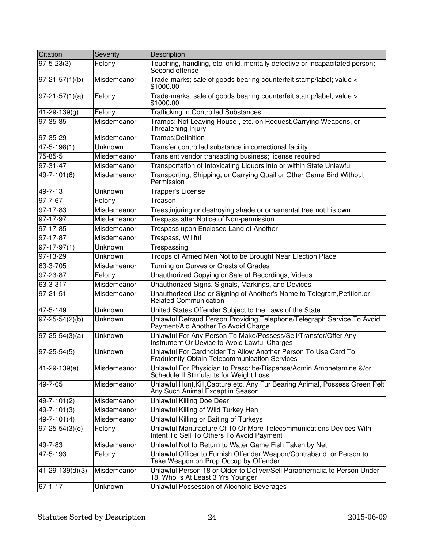| Citation              | Severity       | Description                                                                                                            |
|-----------------------|----------------|------------------------------------------------------------------------------------------------------------------------|
| $97 - 5 - 23(3)$      | Felony         | Touching, handling, etc. child, mentally defective or incapacitated person;<br>Second offense                          |
| $97 - 21 - 57(1)(b)$  | Misdemeanor    | Trade-marks; sale of goods bearing counterfeit stamp/label; value <<br>\$1000.00                                       |
| $97-21-57(1)(a)$      | Felony         | Trade-marks; sale of goods bearing counterfeit stamp/label; value ><br>\$1000.00                                       |
| 41-29-139(g)          | Felony         | <b>Trafficking in Controlled Substances</b>                                                                            |
| 97-35-35              | Misdemeanor    | Tramps; Not Leaving House, etc. on Request, Carrying Weapons, or<br>Threatening Injury                                 |
| 97-35-29              | Misdemeanor    | Tramps; Definition                                                                                                     |
| $47 - 5 - 198(1)$     | Unknown        | Transfer controlled substance in correctional facility.                                                                |
| 75-85-5               | Misdemeanor    | Transient vendor transacting business; license required                                                                |
| 97-31-47              | Misdemeanor    | Transportation of Intoxicating Liquors into or within State Unlawful                                                   |
| 49-7-101(6)           | Misdemeanor    | Transporting, Shipping, or Carrying Quail or Other Game Bird Without<br>Permission                                     |
| 49-7-13               | Unknown        | Trapper's License                                                                                                      |
| 97-7-67               | Felony         | Treason                                                                                                                |
| $97 - 17 - 83$        | Misdemeanor    | Trees;injuring or destroying shade or ornamental tree not his own                                                      |
| 97-17-97              | Misdemeanor    | Trespass after Notice of Non-permission                                                                                |
| 97-17-85              | Misdemeanor    | Trespass upon Enclosed Land of Another                                                                                 |
| $97 - 17 - 87$        | Misdemeanor    | Trespass, Willful                                                                                                      |
| $97-17-97(1)$         | Unknown        | Trespassing                                                                                                            |
| 97-13-29              | Unknown        | Troops of Armed Men Not to be Brought Near Election Place                                                              |
| 63-3-705              | Misdemeanor    | Turning on Curves or Crests of Grades                                                                                  |
| 97-23-87              | Felony         | Unauthorized Copying or Sale of Recordings, Videos                                                                     |
| 63-3-317              | Misdemeanor    | Unauthorized Signs, Signals, Markings, and Devices                                                                     |
| 97-21-51              | Misdemeanor    | Unauthorized Use or Signing of Another's Name to Telegram, Petition, or<br>Related Communication                       |
| $47 - 5 - 149$        | Unknown        | United States Offender Subject to the Laws of the State                                                                |
| $97 - 25 - 54(2)(b)$  | <b>Unknown</b> | Unlawful Defraud Person Providing Telephone/Telegraph Service To Avoid<br>Payment/Aid Another To Avoid Charge          |
| $97 - 25 - 54(3)(a)$  | Unknown        | Unlawful For Any Person To Make/Possess/Sell/Transfer/Offer Any<br>Instrument Or Device to Avoid Lawful Charges        |
| $ 97-25-54(5) $       | Unknown        | Unlawful For Cardholder To Allow Another Person To Use Card To<br><b>Fradulently Obtain Telecommunication Services</b> |
| 41-29-139(e)          | Misdemeanor    | Unlawful For Physician to Prescribe/Dispense/Admin Amphetamine &/or<br>Schedule II Stimulants for Weight Loss          |
| 49-7-65               | Misdemeanor    | Unlawful Hunt, Kill, Capture, etc. Any Fur Bearing Animal, Possess Green Pelt<br>Any Such Animal Except in Season      |
| 49-7-101(2)           | Misdemeanor    | <b>Unlawful Killing Doe Deer</b>                                                                                       |
| $49 - 7 - 101(3)$     | Misdemeanor    | Unlawful Killing of Wild Turkey Hen                                                                                    |
| 49-7-101(4)           | Misdemeanor    | Unlawful Killing or Baiting of Turkeys                                                                                 |
| $97 - 25 - 54(3)(c)$  | Felony         | Unlawful Manufacture Of 10 Or More Telecommunications Devices With<br>Intent To Sell To Others To Avoid Payment        |
| 49-7-83               | Misdemeanor    | Unlawful Not to Return to Water Game Fish Taken by Net                                                                 |
| 47-5-193              | Felony         | Unlawful Officer to Furnish Offender Weapon/Contraband, or Person to<br>Take Weapon on Prop Occup by Offender          |
| $41 - 29 - 139(d)(3)$ | Misdemeanor    | Unlawful Person 18 or Older to Deliver/Sell Paraphernalia to Person Under<br>18, Who Is At Least 3 Yrs Younger         |
| $67 - 1 - 17$         | Unknown        | Unlawful Possession of Alocholic Beverages                                                                             |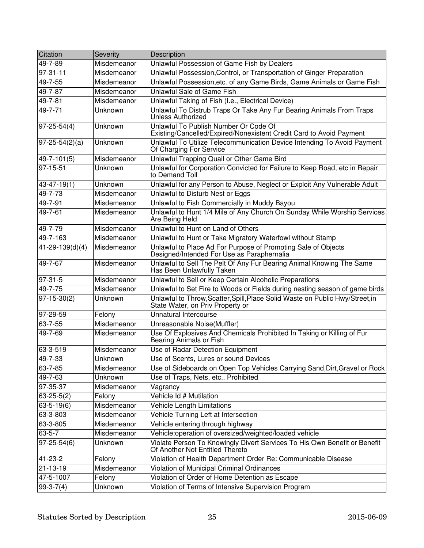| Citation              | Severity    | Description                                                                                                       |
|-----------------------|-------------|-------------------------------------------------------------------------------------------------------------------|
| 49-7-89               | Misdemeanor | Unlawful Possession of Game Fish by Dealers                                                                       |
| $97 - 31 - 11$        | Misdemeanor | Unlawful Possession, Control, or Transportation of Ginger Preparation                                             |
| 49-7-55               | Misdemeanor | Unlawful Possession, etc. of any Game Birds, Game Animals or Game Fish                                            |
| 49-7-87               | Misdemeanor | Unlawful Sale of Game Fish                                                                                        |
| 49-7-81               | Misdemeanor | Unlawful Taking of Fish (I.e., Electrical Device)                                                                 |
| 49-7-71               | Unknown     | Unlawful To Distrub Traps Or Take Any Fur Bearing Animals From Traps<br>Unless Authorized                         |
| $ 97-25-54(4) $       | Unknown     | Unlawful To Publish Number Or Code Of<br>Existing/Cancelled/Expired/Nonexistent Credit Card to Avoid Payment      |
| $97 - 25 - 54(2)(a)$  | Unknown     | Unlawful To Utilize Telecommunication Device Intending To Avoid Payment<br>Of Charging For Service                |
| 49-7-101(5)           | Misdemeanor | Unlawful Trapping Quail or Other Game Bird                                                                        |
| $97 - 15 - 51$        | Unknown     | Unlawful for Corporation Convicted for Failure to Keep Road, etc in Repair<br>to Demand Toll                      |
| 43-47-19(1)           | Unknown     | Unlawful for any Person to Abuse, Neglect or Exploit Any Vulnerable Adult                                         |
| $49 - 7 - 73$         | Misdemeanor | Unlawful to Disturb Nest or Eggs                                                                                  |
| 49-7-91               | Misdemeanor | Unlawful to Fish Commercially in Muddy Bayou                                                                      |
| 49-7-61               | Misdemeanor | Unlawful to Hunt 1/4 Mile of Any Church On Sunday While Worship Services<br>Are Being Held                        |
| 49-7-79               | Misdemeanor | Unlawful to Hunt on Land of Others                                                                                |
| $49 - 7 - 163$        | Misdemeanor | Unlawful to Hunt or Take Migratory Waterfowl without Stamp                                                        |
| $41 - 29 - 139(d)(4)$ | Misdemeanor | Unlawful to Place Ad For Purpose of Promoting Sale of Objects<br>Designed/Intended For Use as Paraphernalia       |
| 49-7-67               | Misdemeanor | Unlawful to Sell The Pelt Of Any Fur Bearing Animal Knowing The Same<br>Has Been Unlawfully Taken                 |
| $97-31-5$             | Misdemeanor | Unlawful to Sell or Keep Certain Alcoholic Preparations                                                           |
| 49-7-75               | Misdemeanor | Unlawful to Set Fire to Woods or Fields during nesting season of game birds                                       |
| $97-15-30(2)$         | Unknown     | Unlawful to Throw, Scatter, Spill, Place Solid Waste on Public Hwy/Street, in<br>State Water, on Priv Property or |
| 97-29-59              | Felony      | Unnatural Intercourse                                                                                             |
| 63-7-55               | Misdemeanor | Unreasonable Noise(Muffler)                                                                                       |
| 49-7-69               | Misdemeanor | Use Of Explosives And Chemicals Prohibited In Taking or Killing of Fur<br>Bearing Animals or Fish                 |
| 63-3-519              | Misdemeanor | Use of Radar Detection Equipment                                                                                  |
| 49-7-33               | Unknown     | Use of Scents, Lures or sound Devices                                                                             |
| 63-7-85               | Misdemeanor | Use of Sideboards on Open Top Vehicles Carrying Sand, Dirt, Gravel or Rock                                        |
| 49-7-63               | Unknown     | Use of Traps, Nets, etc., Prohibited                                                                              |
| 97-35-37              | Misdemeanor | Vagrancy                                                                                                          |
| $63 - 25 - 5(2)$      | Felony      | Vehicle Id # Mutilation                                                                                           |
| $63 - 5 - 19(6)$      | Misdemeanor | Vehicle Length Limitations                                                                                        |
| 63-3-803              | Misdemeanor | Vehicle Turning Left at Intersection                                                                              |
| 63-3-805              | Misdemeanor | Vehicle entering through highway                                                                                  |
| $63 - 5 - 7$          | Misdemeanor | Vehicle: operation of oversized/weighted/loaded vehicle                                                           |
| $97 - 25 - 54(6)$     | Unknown     | Violate Person To Knowingly Divert Services To His Own Benefit or Benefit<br>Of Another Not Entitled Thereto      |
| 41-23-2               | Felony      | Violation of Health Department Order Re: Communicable Disease                                                     |
| 21-13-19              | Misdemeanor | Violation of Municipal Criminal Ordinances                                                                        |
| 47-5-1007             | Felony      | Violation of Order of Home Detention as Escape                                                                    |
| $99-3-7(4)$           | Unknown     | Violation of Terms of Intensive Supervision Program                                                               |